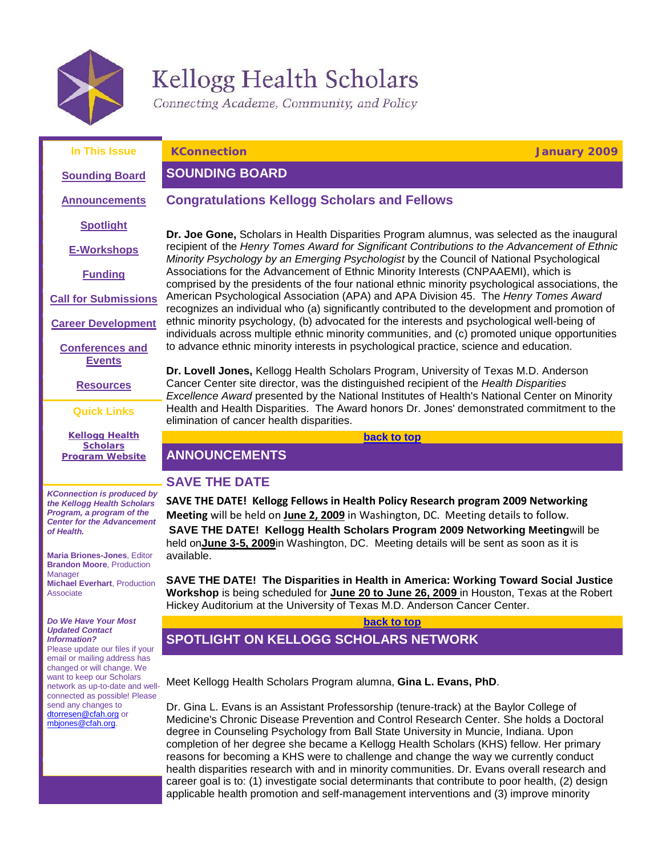

# Kellogg Health Scholars<br>Connecting Academe, Community, and Policy

<span id="page-0-3"></span><span id="page-0-0"></span>

<span id="page-0-2"></span><span id="page-0-1"></span>

| In This Issue                                                                                                                                    | <b>KConnection</b><br><b>January 2009</b>                                                                                                                                                                                                                                                                                                                                                                                                                                                                                                                    |
|--------------------------------------------------------------------------------------------------------------------------------------------------|--------------------------------------------------------------------------------------------------------------------------------------------------------------------------------------------------------------------------------------------------------------------------------------------------------------------------------------------------------------------------------------------------------------------------------------------------------------------------------------------------------------------------------------------------------------|
| <b>Sounding Board</b>                                                                                                                            | <b>SOUNDING BOARD</b>                                                                                                                                                                                                                                                                                                                                                                                                                                                                                                                                        |
| <b>Announcements</b>                                                                                                                             | <b>Congratulations Kellogg Scholars and Fellows</b>                                                                                                                                                                                                                                                                                                                                                                                                                                                                                                          |
| <b>Spotlight</b>                                                                                                                                 | Dr. Joe Gone, Scholars in Health Disparities Program alumnus, was selected as the inaugural                                                                                                                                                                                                                                                                                                                                                                                                                                                                  |
| <b>E-Workshops</b>                                                                                                                               | recipient of the Henry Tomes Award for Significant Contributions to the Advancement of Ethnic<br>Minority Psychology by an Emerging Psychologist by the Council of National Psychological                                                                                                                                                                                                                                                                                                                                                                    |
| <b>Funding</b>                                                                                                                                   | Associations for the Advancement of Ethnic Minority Interests (CNPAAEMI), which is<br>comprised by the presidents of the four national ethnic minority psychological associations, the                                                                                                                                                                                                                                                                                                                                                                       |
| <b>Call for Submissions</b>                                                                                                                      | American Psychological Association (APA) and APA Division 45. The Henry Tomes Award<br>recognizes an individual who (a) significantly contributed to the development and promotion of                                                                                                                                                                                                                                                                                                                                                                        |
| <b>Career Development</b>                                                                                                                        | ethnic minority psychology, (b) advocated for the interests and psychological well-being of<br>individuals across multiple ethnic minority communities, and (c) promoted unique opportunities                                                                                                                                                                                                                                                                                                                                                                |
| <b>Conferences and</b><br><b>Events</b>                                                                                                          | to advance ethnic minority interests in psychological practice, science and education.                                                                                                                                                                                                                                                                                                                                                                                                                                                                       |
| <b>Resources</b>                                                                                                                                 | Dr. Lovell Jones, Kellogg Health Scholars Program, University of Texas M.D. Anderson<br>Cancer Center site director, was the distinguished recipient of the Health Disparities<br>Excellence Award presented by the National Institutes of Health's National Center on Minority                                                                                                                                                                                                                                                                              |
| <b>Quick Links</b>                                                                                                                               | Health and Health Disparities. The Award honors Dr. Jones' demonstrated commitment to the<br>elimination of cancer health disparities.                                                                                                                                                                                                                                                                                                                                                                                                                       |
| <b>Kellogg Health</b>                                                                                                                            | back to top                                                                                                                                                                                                                                                                                                                                                                                                                                                                                                                                                  |
| <b>Scholars</b><br><b>Program Website</b>                                                                                                        | <b>ANNOUNCEMENTS</b>                                                                                                                                                                                                                                                                                                                                                                                                                                                                                                                                         |
|                                                                                                                                                  | <b>SAVE THE DATE</b>                                                                                                                                                                                                                                                                                                                                                                                                                                                                                                                                         |
| <b>KConnection is produced by</b><br>the Kellogg Health Scholars<br>Program, a program of the<br><b>Center for the Advancement</b><br>of Health. | SAVE THE DATE! Kellogg Fellows in Health Policy Research program 2009 Networking<br>Meeting will be held on June 2, 2009 in Washington, DC. Meeting details to follow.<br>SAVE THE DATE! Kellogg Health Scholars Program 2009 Networking Meetingwill be                                                                                                                                                                                                                                                                                                      |
| <b>Maria Briones-Jones, Editor</b><br><b>Brandon Moore, Production</b>                                                                           | held onJune 3-5, 2009in Washington, DC. Meeting details will be sent as soon as it is<br>available.                                                                                                                                                                                                                                                                                                                                                                                                                                                          |
| Manager<br><b>Michael Everhart, Production</b><br>Associate                                                                                      | SAVE THE DATE! The Disparities in Health in America: Working Toward Social Justice<br>Workshop is being scheduled for June 20 to June 26, 2009 in Houston, Texas at the Robert<br>Hickey Auditorium at the University of Texas M.D. Anderson Cancer Center.                                                                                                                                                                                                                                                                                                  |
| Do We Have Your Most                                                                                                                             | back to top                                                                                                                                                                                                                                                                                                                                                                                                                                                                                                                                                  |
| <b>Updated Contact</b><br><b>Information?</b><br>Please update our files if your<br>email or mailing address has                                 | <b>SPOTLIGHT ON KELLOGG SCHOLARS NETWORK</b>                                                                                                                                                                                                                                                                                                                                                                                                                                                                                                                 |
| changed or will change. We<br>want to keep our Scholars<br>network as up-to-date and well-<br>connected as possible! Please                      | Meet Kellogg Health Scholars Program alumna, Gina L. Evans, PhD.                                                                                                                                                                                                                                                                                                                                                                                                                                                                                             |
| send any changes to<br>dtorresen@cfah.org or<br>mbiones@cfah.org.                                                                                | Dr. Gina L. Evans is an Assistant Professorship (tenure-track) at the Baylor College of<br>Medicine's Chronic Disease Prevention and Control Research Center. She holds a Doctoral<br>degree in Counseling Psychology from Ball State University in Muncie, Indiana. Upon<br>completion of her degree she became a Kellogg Health Scholars (KHS) fellow. Her primary<br>reasons for becoming a KHS were to challenge and change the way we currently conduct<br>health disparities research with and in minority communities. Dr. Evans overall research and |
|                                                                                                                                                  | career goal is to: (1) investigate social determinants that contribute to poor health, (2) design<br>applicable health promotion and self-management interventions and (3) improve minority                                                                                                                                                                                                                                                                                                                                                                  |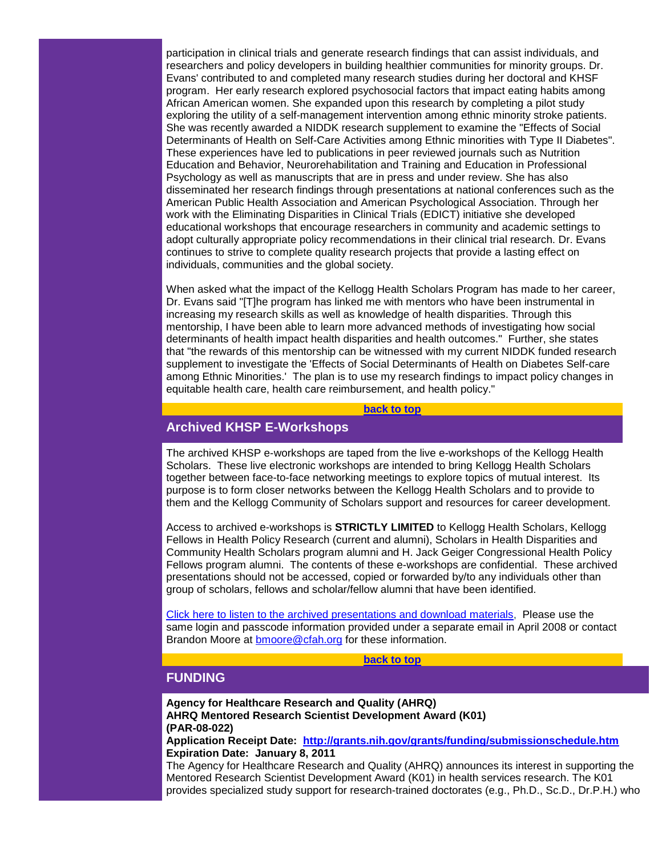participation in clinical trials and generate research findings that can assist individuals, and researchers and policy developers in building healthier communities for minority groups. Dr. Evans' contributed to and completed many research studies during her doctoral and KHSF program. Her early research explored psychosocial factors that impact eating habits among African American women. She expanded upon this research by completing a pilot study exploring the utility of a self-management intervention among ethnic minority stroke patients. She was recently awarded a NIDDK research supplement to examine the "Effects of Social Determinants of Health on Self-Care Activities among Ethnic minorities with Type II Diabetes". These experiences have led to publications in peer reviewed journals such as Nutrition Education and Behavior, Neurorehabilitation and Training and Education in Professional Psychology as well as manuscripts that are in press and under review. She has also disseminated her research findings through presentations at national conferences such as the American Public Health Association and American Psychological Association. Through her work with the Eliminating Disparities in Clinical Trials (EDICT) initiative she developed educational workshops that encourage researchers in community and academic settings to adopt culturally appropriate policy recommendations in their clinical trial research. Dr. Evans continues to strive to complete quality research projects that provide a lasting effect on individuals, communities and the global society.

When asked what the impact of the Kellogg Health Scholars Program has made to her career, Dr. Evans said "[T]he program has linked me with mentors who have been instrumental in increasing my research skills as well as knowledge of health disparities. Through this mentorship, I have been able to learn more advanced methods of investigating how social determinants of health impact health disparities and health outcomes." Further, she states that "the rewards of this mentorship can be witnessed with my current NIDDK funded research supplement to investigate the 'Effects of Social Determinants of Health on Diabetes Self-care among Ethnic Minorities.' The plan is to use my research findings to impact policy changes in equitable health care, health care reimbursement, and health policy."

#### **[back to top](#page-0-3)**

# <span id="page-1-0"></span>**Archived KHSP E-Workshops**

The archived KHSP e-workshops are taped from the live e-workshops of the Kellogg Health Scholars. These live electronic workshops are intended to bring Kellogg Health Scholars together between face-to-face networking meetings to explore topics of mutual interest. Its purpose is to form closer networks between the Kellogg Health Scholars and to provide to them and the Kellogg Community of Scholars support and resources for career development.

Access to archived e-workshops is **STRICTLY LIMITED** to Kellogg Health Scholars, Kellogg Fellows in Health Policy Research (current and alumni), Scholars in Health Disparities and Community Health Scholars program alumni and H. Jack Geiger Congressional Health Policy Fellows program alumni. The contents of these e-workshops are confidential. These archived presentations should not be accessed, copied or forwarded by/to any individuals other than group of scholars, fellows and scholar/fellow alumni that have been identified.

[Click here to listen to the archived presentations and download materials,](http://rs6.net/tn.jsp?e=001RPJ7iI0YTCYQNVytLn-J0IszcwCW_zADws_-PPvLvOeUlZPRWu_ZSxmXEH8LeE-dT2tw6vX-7JavKhQ-KlI1BhixnOEPDGyShSFve5M28YQo9fkV5llMzEzTXO0pB4lN_-RJLbrU5qg=) Please use the same login and passcode information provided under a separate email in April 2008 or contact Brandon Moore at **bmoore@cfah.org** for these information.

**[back to top](#page-0-3)**

# <span id="page-1-1"></span>**FUNDING**

**Agency for Healthcare Research and Quality (AHRQ) AHRQ Mentored Research Scientist Development Award (K01) (PAR-08-022)**

**Application Receipt Date: [http://grants.nih.gov/grants/funding/submissionschedule.htm](http://rs6.net/tn.jsp?e=001RPJ7iI0YTCZ_3g3uCFupWUcN3QST3DZ3zRg4qCIJcMMOq5UAe2E64hsHwpUNlNYyzKPOjGJCcM7RFCFNAsJQnbOPuUKZGrnkF7dIEeIDeFiGXvZmxqaM_ojItDtoHsHqfw7Fb8DSapPL_BjIzgv32bsdnL1zvQlO) Expiration Date: January 8, 2011**

The Agency for Healthcare Research and Quality (AHRQ) announces its interest in supporting the Mentored Research Scientist Development Award (K01) in health services research. The K01 provides specialized study support for research-trained doctorates (e.g., Ph.D., Sc.D., Dr.P.H.) who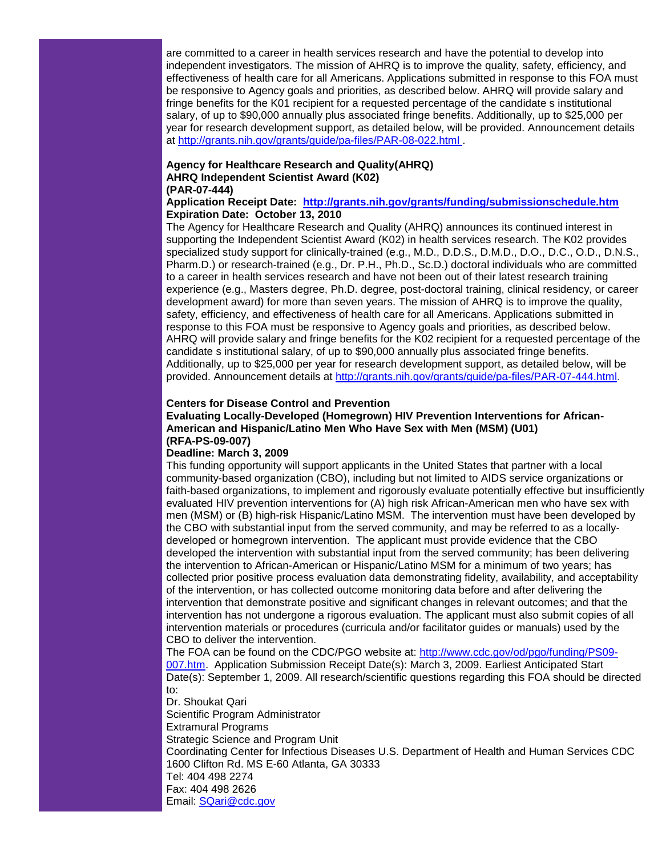are committed to a career in health services research and have the potential to develop into independent investigators. The mission of AHRQ is to improve the quality, safety, efficiency, and effectiveness of health care for all Americans. Applications submitted in response to this FOA must be responsive to Agency goals and priorities, as described below. AHRQ will provide salary and fringe benefits for the K01 recipient for a requested percentage of the candidate s institutional salary, of up to \$90,000 annually plus associated fringe benefits. Additionally, up to \$25,000 per year for research development support, as detailed below, will be provided. Announcement details at [http://grants.nih.gov/grants/guide/pa-files/PAR-08-022.html .](http://rs6.net/tn.jsp?e=001RPJ7iI0YTCbseN-kapNb_FlBczCi2u1s_enfWRxcO72CZ97nEUuqHOfXMg0IiJZtfJQel92qCFAiF10CBJFX83nQhvJY7Tbz8IFUYAnaXJVBrcLu_es5FT0T8xv41xu8LHG0v2ujtml6zaTVNsmbA-zWUrVcmxKhmeQQfk9WTg4=)

#### **Agency for Healthcare Research and Quality(AHRQ) AHRQ Independent Scientist Award (K02) (PAR-07-444)**

#### **Application Receipt Date: [http://grants.nih.gov/grants/funding/submissionschedule.htm](http://rs6.net/tn.jsp?e=001RPJ7iI0YTCZ_3g3uCFupWUcN3QST3DZ3zRg4qCIJcMMOq5UAe2E64hsHwpUNlNYyzKPOjGJCcM7RFCFNAsJQnbOPuUKZGrnkF7dIEeIDeFiGXvZmxqaM_ojItDtoHsHqfw7Fb8DSapPL_BjIzgv32bsdnL1zvQlO) Expiration Date: October 13, 2010**

The Agency for Healthcare Research and Quality (AHRQ) announces its continued interest in supporting the Independent Scientist Award (K02) in health services research. The K02 provides specialized study support for clinically-trained (e.g., M.D., D.D.S., D.M.D., D.O., D.C., O.D., D.N.S., Pharm.D.) or research-trained (e.g., Dr. P.H., Ph.D., Sc.D.) doctoral individuals who are committed to a career in health services research and have not been out of their latest research training experience (e.g., Masters degree, Ph.D. degree, post-doctoral training, clinical residency, or career development award) for more than seven years. The mission of AHRQ is to improve the quality, safety, efficiency, and effectiveness of health care for all Americans. Applications submitted in response to this FOA must be responsive to Agency goals and priorities, as described below. AHRQ will provide salary and fringe benefits for the K02 recipient for a requested percentage of the candidate s institutional salary, of up to \$90,000 annually plus associated fringe benefits. Additionally, up to \$25,000 per year for research development support, as detailed below, will be provided. Announcement details at [http://grants.nih.gov/grants/guide/pa-files/PAR-07-444.html.](http://rs6.net/tn.jsp?e=001RPJ7iI0YTCbUDXL-5inlp2SUFa7D639n-4Eluv-nQBfbJ6caS9DHBUKHYwmR2dLyTtA7XZyPHjM_bRmI1loRgIjzDksV-mfWAsD_v_dKoSBsguf-s0Gq_rW_RKKGVNOj5SQ4PTtTkvzsf6OP4GEy_vmrSSihQhpLYNR6FYWBhdA=)

#### **Centers for Disease Control and Prevention**

#### **Evaluating Locally-Developed (Homegrown) HIV Prevention Interventions for African-American and Hispanic/Latino Men Who Have Sex with Men (MSM) (U01) (RFA-PS-09-007)**

#### **Deadline: March 3, 2009**

This funding opportunity will support applicants in the United States that partner with a local community-based organization (CBO), including but not limited to AIDS service organizations or faith-based organizations, to implement and rigorously evaluate potentially effective but insufficiently evaluated HIV prevention interventions for (A) high risk African-American men who have sex with men (MSM) or (B) high-risk Hispanic/Latino MSM. The intervention must have been developed by the CBO with substantial input from the served community, and may be referred to as a locallydeveloped or homegrown intervention. The applicant must provide evidence that the CBO developed the intervention with substantial input from the served community; has been delivering the intervention to African-American or Hispanic/Latino MSM for a minimum of two years; has collected prior positive process evaluation data demonstrating fidelity, availability, and acceptability of the intervention, or has collected outcome monitoring data before and after delivering the intervention that demonstrate positive and significant changes in relevant outcomes; and that the intervention has not undergone a rigorous evaluation. The applicant must also submit copies of all intervention materials or procedures (curricula and/or facilitator guides or manuals) used by the CBO to deliver the intervention.

The FOA can be found on the CDC/PGO website at: [http://www.cdc.gov/od/pgo/funding/PS09-](http://rs6.net/tn.jsp?e=001RPJ7iI0YTCY4qlUIhLz6Efc1PDliVYdySUuoOl1eSdND2EWiup0PzHzoPL50wI7EZ-PnoaH6sK6C2AU54jkqmEmVenYwxTCRMBCxA4TjrpYf5R7O9C-d2ueFPWN_jf5DllmP8X3-276KfZR9wO_MHg==) [007.htm.](http://rs6.net/tn.jsp?e=001RPJ7iI0YTCY4qlUIhLz6Efc1PDliVYdySUuoOl1eSdND2EWiup0PzHzoPL50wI7EZ-PnoaH6sK6C2AU54jkqmEmVenYwxTCRMBCxA4TjrpYf5R7O9C-d2ueFPWN_jf5DllmP8X3-276KfZR9wO_MHg==) Application Submission Receipt Date(s): March 3, 2009. Earliest Anticipated Start Date(s): September 1, 2009. All research/scientific questions regarding this FOA should be directed to:

Dr. Shoukat Qari Scientific Program Administrator Extramural Programs Strategic Science and Program Unit Coordinating Center for Infectious Diseases U.S. Department of Health and Human Services CDC 1600 Clifton Rd. MS E-60 Atlanta, GA 30333 Tel: 404 498 2274 Fax: 404 498 2626 Email: [SQari@cdc.gov](mailto:SQari@cdc.gov)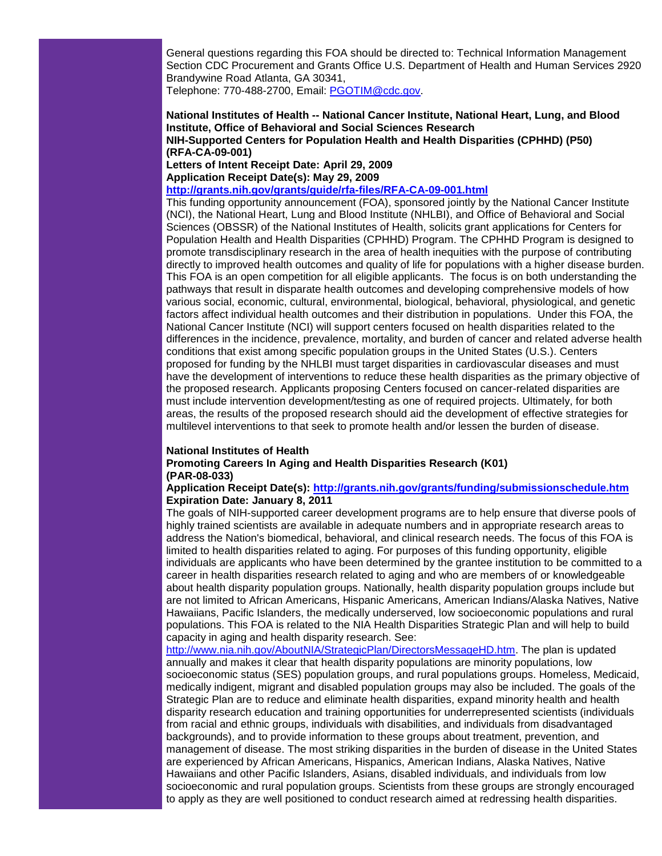General questions regarding this FOA should be directed to: Technical Information Management Section CDC Procurement and Grants Office U.S. Department of Health and Human Services 2920 Brandywine Road Atlanta, GA 30341, Telephone: 770-488-2700, Email: [PGOTIM@cdc.gov.](mailto:PGOTIM@cdc.gov)

#### **National Institutes of Health -- National Cancer Institute, National Heart, Lung, and Blood Institute, Office of Behavioral and Social Sciences Research NIH-Supported Centers for Population Health and Health Disparities (CPHHD) (P50) (RFA-CA-09-001)**

**Letters of Intent Receipt Date: April 29, 2009**

**Application Receipt Date(s): May 29, 2009** 

**[http://grants.nih.gov/grants/guide/rfa-files/RFA-CA-09-001.html](http://rs6.net/tn.jsp?e=001RPJ7iI0YTCaO2AlLHYpRFumQa2KMrRLxnoV6Tv0iXdDQnDyADQUqSwr6YsepoyQ_-qeda6nc-jKvL9KQx4OixSFLDm_Qo1AGx2uOH4ygs8btlE6RJhc9asCj1nYLHX-D-eBG5rJhqDkSgRLkATb_riCltsL-8r3NCDw7EInL5hE=)**

This funding opportunity announcement (FOA), sponsored jointly by the National Cancer Institute (NCI), the National Heart, Lung and Blood Institute (NHLBI), and Office of Behavioral and Social Sciences (OBSSR) of the National Institutes of Health, solicits grant applications for Centers for Population Health and Health Disparities (CPHHD) Program. The CPHHD Program is designed to promote transdisciplinary research in the area of health inequities with the purpose of contributing directly to improved health outcomes and quality of life for populations with a higher disease burden. This FOA is an open competition for all eligible applicants. The focus is on both understanding the pathways that result in disparate health outcomes and developing comprehensive models of how various social, economic, cultural, environmental, biological, behavioral, physiological, and genetic factors affect individual health outcomes and their distribution in populations. Under this FOA, the National Cancer Institute (NCI) will support centers focused on health disparities related to the differences in the incidence, prevalence, mortality, and burden of cancer and related adverse health conditions that exist among specific population groups in the United States (U.S.). Centers proposed for funding by the NHLBI must target disparities in cardiovascular diseases and must have the development of interventions to reduce these health disparities as the primary objective of the proposed research. Applicants proposing Centers focused on cancer-related disparities are must include intervention development/testing as one of required projects. Ultimately, for both areas, the results of the proposed research should aid the development of effective strategies for multilevel interventions to that seek to promote health and/or lessen the burden of disease.

#### **National Institutes of Health**

**Promoting Careers In Aging and Health Disparities Research (K01) (PAR-08-033)**

#### **Application Receipt Date(s): [http://grants.nih.gov/grants/funding/submissionschedule.htm](http://rs6.net/tn.jsp?e=001RPJ7iI0YTCZ_3g3uCFupWUcN3QST3DZ3zRg4qCIJcMMOq5UAe2E64hsHwpUNlNYyzKPOjGJCcM7RFCFNAsJQnbOPuUKZGrnkF7dIEeIDeFiGXvZmxqaM_ojItDtoHsHqfw7Fb8DSapPL_BjIzgv32bsdnL1zvQlO)  Expiration Date: January 8, 2011**

The goals of NIH-supported career development programs are to help ensure that diverse pools of highly trained scientists are available in adequate numbers and in appropriate research areas to address the Nation's biomedical, behavioral, and clinical research needs. The focus of this FOA is limited to health disparities related to aging. For purposes of this funding opportunity, eligible individuals are applicants who have been determined by the grantee institution to be committed to a career in health disparities research related to aging and who are members of or knowledgeable about health disparity population groups. Nationally, health disparity population groups include but are not limited to African Americans, Hispanic Americans, American Indians/Alaska Natives, Native Hawaiians, Pacific Islanders, the medically underserved, low socioeconomic populations and rural populations. This FOA is related to the NIA Health Disparities Strategic Plan and will help to build capacity in aging and health disparity research. See:

[http://www.nia.nih.gov/AboutNIA/StrategicPlan/DirectorsMessageHD.htm.](http://rs6.net/tn.jsp?e=001RPJ7iI0YTCasIK2dUnxuVSxh-UVYrYOIqpWgeXJxt1lLDHOgnMJenejX8qQFoZNoNdumqCLWuai9V_7oKgQl2JVNAINyK_LFrF_ZszR0l7LjjK7mc9rOo2BEHGixx4olvo9EzG6H0DMUaWAdgwQWj-7Poy-DJ8_H8aEEGpDz9RM=) The plan is updated annually and makes it clear that health disparity populations are minority populations, low socioeconomic status (SES) population groups, and rural populations groups. Homeless, Medicaid, medically indigent, migrant and disabled population groups may also be included. The goals of the Strategic Plan are to reduce and eliminate health disparities, expand minority health and health disparity research education and training opportunities for underrepresented scientists (individuals from racial and ethnic groups, individuals with disabilities, and individuals from disadvantaged backgrounds), and to provide information to these groups about treatment, prevention, and management of disease. The most striking disparities in the burden of disease in the United States are experienced by African Americans, Hispanics, American Indians, Alaska Natives, Native Hawaiians and other Pacific Islanders, Asians, disabled individuals, and individuals from low socioeconomic and rural population groups. Scientists from these groups are strongly encouraged to apply as they are well positioned to conduct research aimed at redressing health disparities.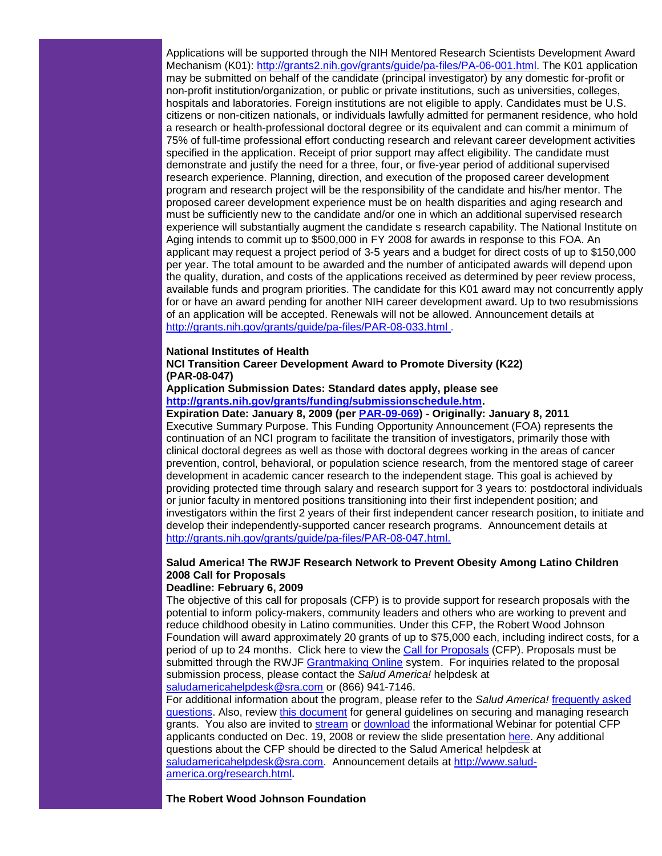Applications will be supported through the NIH Mentored Research Scientists Development Award Mechanism (K01): [http://grants2.nih.gov/grants/guide/pa-files/PA-06-001.html.](http://rs6.net/tn.jsp?e=001RPJ7iI0YTCYGZeaK-s0qb-nF--sAE-SUhijPk-l7u0YfKwBNMIEajtb2gxfqhHLyUT72qXEPyAIa6Bq3j1FiNe63JQ14WRKP-3prKinS63pPw-SyIJvD20tzfmU4U3P7l6231ZBulAgZv2lSIPED9ssLrq0EQOUeZOrocgvDfck=) The K01 application may be submitted on behalf of the candidate (principal investigator) by any domestic for-profit or non-profit institution/organization, or public or private institutions, such as universities, colleges, hospitals and laboratories. Foreign institutions are not eligible to apply. Candidates must be U.S. citizens or non-citizen nationals, or individuals lawfully admitted for permanent residence, who hold a research or health-professional doctoral degree or its equivalent and can commit a minimum of 75% of full-time professional effort conducting research and relevant career development activities specified in the application. Receipt of prior support may affect eligibility. The candidate must demonstrate and justify the need for a three, four, or five-year period of additional supervised research experience. Planning, direction, and execution of the proposed career development program and research project will be the responsibility of the candidate and his/her mentor. The proposed career development experience must be on health disparities and aging research and must be sufficiently new to the candidate and/or one in which an additional supervised research experience will substantially augment the candidate s research capability. The National Institute on Aging intends to commit up to \$500,000 in FY 2008 for awards in response to this FOA. An applicant may request a project period of 3-5 years and a budget for direct costs of up to \$150,000 per year. The total amount to be awarded and the number of anticipated awards will depend upon the quality, duration, and costs of the applications received as determined by peer review process, available funds and program priorities. The candidate for this K01 award may not concurrently apply for or have an award pending for another NIH career development award. Up to two resubmissions of an application will be accepted. Renewals will not be allowed. Announcement details at [http://grants.nih.gov/grants/guide/pa-files/PAR-08-033.html .](http://rs6.net/tn.jsp?e=001RPJ7iI0YTCbgupbwVQ0aw2u3f7pc8tCu89JrClszVzYoJL-BgBPCYJjDEYJQpemWAyEPmPGFEYuR9uSOTvwpsMPXG6YUDmVyO3wwodGxBDgFF3vGtWNuM8iTplu6DWsESEkbPC_eUDqgJR2fibyyrQhTLZ22AZ-h525w04pv-sE=)

#### **National Institutes of Health**

#### **NCI Transition Career Development Award to Promote Diversity (K22) (PAR-08-047)**

#### **Application Submission Dates: Standard dates apply, please see [http://grants.nih.gov/grants/funding/submissionschedule.htm.](http://rs6.net/tn.jsp?e=001RPJ7iI0YTCZ_3g3uCFupWUcN3QST3DZ3zRg4qCIJcMMOq5UAe2E64hsHwpUNlNYyzKPOjGJCcM7RFCFNAsJQnbOPuUKZGrnkF7dIEeIDeFiGXvZmxqaM_ojItDtoHsHqfw7Fb8DSapPL_BjIzgv32bsdnL1zvQlO)**

**Expiration Date: January 8, 2009 (per [PAR-09-069\)](http://rs6.net/tn.jsp?e=001RPJ7iI0YTCZoQF7sbm2atyaNK474JB3WEoPejQ2NjcF9qzOZOnEKN4V_8cnghX4EhjclpgyzLV9r9TKzsYKyewrtszybpEC4VELYyMatIKkO2tUpw8oP8JPqveLd6W5MCrQ8mER1TIGxbiIvqixMmxELSFuERLsaiLHWQRQ4mdw=) - Originally: January 8, 2011** Executive Summary Purpose. This Funding Opportunity Announcement (FOA) represents the continuation of an NCI program to facilitate the transition of investigators, primarily those with clinical doctoral degrees as well as those with doctoral degrees working in the areas of cancer prevention, control, behavioral, or population science research, from the mentored stage of career development in academic cancer research to the independent stage. This goal is achieved by providing protected time through salary and research support for 3 years to: postdoctoral individuals or junior faculty in mentored positions transitioning into their first independent position; and investigators within the first 2 years of their first independent cancer research position, to initiate and develop their independently-supported cancer research programs. Announcement details at [http://grants.nih.gov/grants/guide/pa-files/PAR-08-047.html.](http://rs6.net/tn.jsp?e=001RPJ7iI0YTCbxpqNMHNu2PcpaR5WzuG5usi8UZVSxiqz5QvWV4HPoOV-ywhh_bC6jN-8zxIrqbaIG50Uf7cTJZ4tjT15Z7HY-toHeHVAo2Bbg_gpuvtT2UxQwdSD8FAdox3PqLu8RA9N9vymW-HsqLlmlFWc3IiyJjViI9GxYQ4g=) 

# **Salud America! The RWJF Research Network to Prevent Obesity Among Latino Children 2008 Call for Proposals**

#### **Deadline: February 6, 2009**

The objective of this call for proposals (CFP) is to provide support for research proposals with the potential to inform policy-makers, community leaders and others who are working to prevent and reduce childhood obesity in Latino communities. Under this CFP, the Robert Wood Johnson Foundation will award approximately 20 grants of up to \$75,000 each, including indirect costs, for a period of up to 24 months. Click here to view the [Call for Proposals](http://rs6.net/tn.jsp?e=001RPJ7iI0YTCYMgJGsqo7MNeDGIHOZG3nm-xAceV3rz2jrjhXyyTKsjV0kALCP1CRHFft3VXwiEls-A1KAx6Z_yh2aii80BbCjKnkMj1ZixoDm-3PzI6HH_ByE8c3OQDPASHLo_JpTVAbl9xsqku5JwBNeu8CgrZD1vqxb2UI1kpU=) (CFP). Proposals must be submitted through the RWJF [Grantmaking Online](http://rs6.net/tn.jsp?e=001RPJ7iI0YTCalGpq0QPl9Q7Lwh4KduiQipl-B1dLO_Zi7k8o6zgc_a1IeeLKGA71NTn-45Y69rnac4J5c3oGP6B1-2pZDnAoUsiQSkcenmBkgFxciHBtyfF-J7bFEyJjs) system. For inquiries related to the proposal submission process, please contact the *Salud America!* helpdesk at [saludamericahelpdesk@sra.com](mailto:saludamericahelpdesk@sra.com) or (866) 941-7146.

For additional information about the program, please refer to the *Salud America!* [frequently asked](http://rs6.net/tn.jsp?e=001RPJ7iI0YTCYZPLIsCpFGo4stfz_u29oltKCoYEDlopIPWCweAjb76VmPpHns0dlr5DGS8O1BiAzq5SFqqCvYugIDFnC_vsa-efopbvGDs2i6wgmnpvGilD6ncvZtbaf1Z6UxkXoin40=)  [questions.](http://rs6.net/tn.jsp?e=001RPJ7iI0YTCYZPLIsCpFGo4stfz_u29oltKCoYEDlopIPWCweAjb76VmPpHns0dlr5DGS8O1BiAzq5SFqqCvYugIDFnC_vsa-efopbvGDs2i6wgmnpvGilD6ncvZtbaf1Z6UxkXoin40=) Also, review [this document](http://rs6.net/tn.jsp?e=001RPJ7iI0YTCY-jkpxILuvaVbjWZ9arwfmdhdm8PwKILDfoZNf_lyZ3EvZG0JCT47Uk6wmxumSgeqSLXuivKecHtbw1oNWoyu85wmSz4fClwIaEXZnGn9jhQN0pmfYDDtRfWIVYyyQDjt-QNLotnmtRw==) for general guidelines on securing and managing research grants. You also are invited to [stream](http://rs6.net/tn.jsp?e=001RPJ7iI0YTCYuT7TayXoI5sIQjFD7MmUhm2Az1CPH0ku6G9iKWfaTRX12qhh-0OD63CCxBYe_Qrf4WwEv6UsIa4m7yZpxhEj9SHlLx30i0lAk3SoQq9lQ7nFSyLpbyW_JMDODPgbDNP6cM-UzBu3wTqt2gmEx7H6v-Ja0SbjN6bmxtPaiR4xVnXTziTaHfl1QNmMOZpS6sdqlufKGF1Et2g==) or [download](http://rs6.net/tn.jsp?e=001RPJ7iI0YTCaJGT1IT4nV6mMKTQDirhxFdstPkKKr6QZzmK_GpQj-VWVjLvMe47gThdFi_iLB-8WmLWBPWshBJuQtpbhU7580UXweFG766Idnh0DOwJkWQXv3oF0PqmdXU8hcJ0FMf_4TdgPrev2kU3IxHA9vr_n9Sw3Hn4fqBfsUik6_PtEfK16Wf00oczYx_FIXyIAA8FQrvQpo_s-4-g==) the informational Webinar for potential CFP applicants conducted on Dec. 19, 2008 or review the slide presentation [here.](http://rs6.net/tn.jsp?e=001RPJ7iI0YTCZWfePbKm9RpqQpLptuNQ_jRxuny7DSqsfYb3jAkIWCe53zhhfGerg6Nv6RASdyScrePGSLEQmnJc_pnZKe49ineUB3vqRy3BXrp5GuBESoqBSdqYvA1W76g4PSitvQrvXZSrAZxXsL1g==) Any additional questions about the CFP should be directed to the Salud America! helpdesk at [saludamericahelpdesk@sra.com.](mailto:saludamericahelpdesk@sra.com) Announcement details at [http://www.salud](http://rs6.net/tn.jsp?e=001RPJ7iI0YTCbLaaUGGZxvzh0aVy0KyhsjQEOEi_Snz3kTmQ7OAyMCaMnyoMsGXABXYeg1C9Hy1wqlfTo1iLL7ndE62xRidzqYoYNNT1QtnJGhDYm-cu0fz01KuAP1iLz-GJ0z_kVJ93Y=)[america.org/research.html](http://rs6.net/tn.jsp?e=001RPJ7iI0YTCbLaaUGGZxvzh0aVy0KyhsjQEOEi_Snz3kTmQ7OAyMCaMnyoMsGXABXYeg1C9Hy1wqlfTo1iLL7ndE62xRidzqYoYNNT1QtnJGhDYm-cu0fz01KuAP1iLz-GJ0z_kVJ93Y=)**.**

#### **The Robert Wood Johnson Foundation**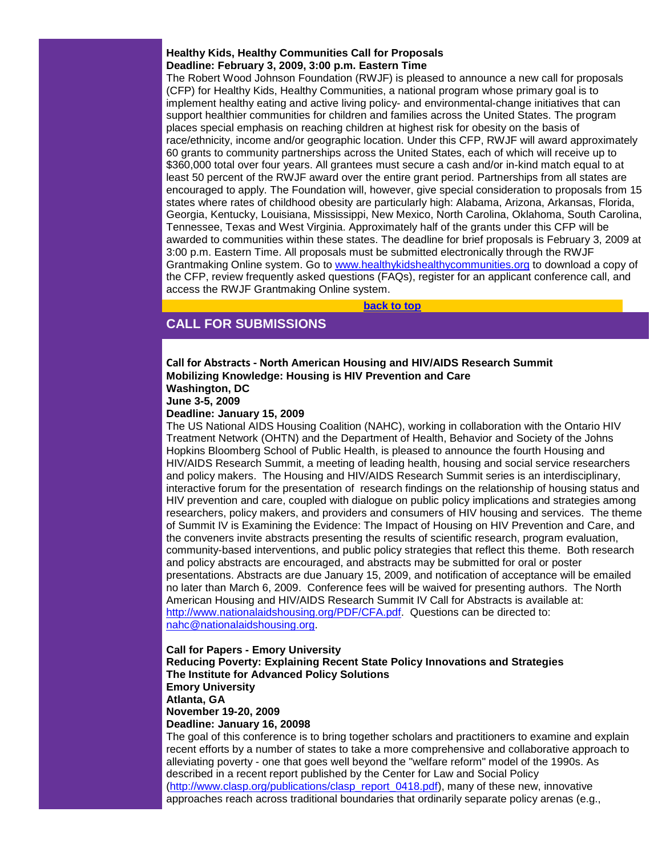#### **Healthy Kids, Healthy Communities Call for Proposals Deadline: February 3, 2009, 3:00 p.m. Eastern Time**

The Robert Wood Johnson Foundation (RWJF) is pleased to announce a new call for proposals (CFP) for Healthy Kids, Healthy Communities, a national program whose primary goal is to implement healthy eating and active living policy- and environmental-change initiatives that can support healthier communities for children and families across the United States. The program places special emphasis on reaching children at highest risk for obesity on the basis of race/ethnicity, income and/or geographic location. Under this CFP, RWJF will award approximately 60 grants to community partnerships across the United States, each of which will receive up to \$360,000 total over four years. All grantees must secure a cash and/or in-kind match equal to at least 50 percent of the RWJF award over the entire grant period. Partnerships from all states are encouraged to apply. The Foundation will, however, give special consideration to proposals from 15 states where rates of childhood obesity are particularly high: Alabama, Arizona, Arkansas, Florida, Georgia, Kentucky, Louisiana, Mississippi, New Mexico, North Carolina, Oklahoma, South Carolina, Tennessee, Texas and West Virginia. Approximately half of the grants under this CFP will be awarded to communities within these states. The deadline for brief proposals is February 3, 2009 at 3:00 p.m. Eastern Time. All proposals must be submitted electronically through the RWJF Grantmaking Online system. Go to [www.healthykidshealthycommunities.org](http://rs6.net/tn.jsp?e=001RPJ7iI0YTCY2vFHKErD0tZdDA8IUkF-NvOxQB1NE49BPuMRHYEJUGGiUYeu_CxaJYWpwJSBN3pEqdXDaiSQo4j5tdQR0NlNG_l6jnnmhIIXwINm-4YW2XdVoE6OmJvI4NRQHgcyClOk=) to download a copy of the CFP, review frequently asked questions (FAQs), register for an applicant conference call, and access the RWJF Grantmaking Online system.

**[back to top](#page-0-3)**

# <span id="page-5-0"></span>**CALL FOR SUBMISSIONS**

# **Call for Abstracts - North American Housing and HIV/AIDS Research Summit Mobilizing Knowledge: Housing is HIV Prevention and Care Washington, DC**

**June 3-5, 2009** 

#### **Deadline: January 15, 2009**

The US National AIDS Housing Coalition (NAHC), working in collaboration with the Ontario HIV Treatment Network (OHTN) and the Department of Health, Behavior and Society of the Johns Hopkins Bloomberg School of Public Health, is pleased to announce the fourth Housing and HIV/AIDS Research Summit, a meeting of leading health, housing and social service researchers and policy makers. The Housing and HIV/AIDS Research Summit series is an interdisciplinary, interactive forum for the presentation of research findings on the relationship of housing status and HIV prevention and care, coupled with dialogue on public policy implications and strategies among researchers, policy makers, and providers and consumers of HIV housing and services. The theme of Summit IV is Examining the Evidence: The Impact of Housing on HIV Prevention and Care, and the conveners invite abstracts presenting the results of scientific research, program evaluation, community-based interventions, and public policy strategies that reflect this theme. Both research and policy abstracts are encouraged, and abstracts may be submitted for oral or poster presentations. Abstracts are due January 15, 2009, and notification of acceptance will be emailed no later than March 6, 2009. Conference fees will be waived for presenting authors. The North American Housing and HIV/AIDS Research Summit IV Call for Abstracts is available at: [http://www.nationalaidshousing.org/PDF/CFA.pdf.](http://rs6.net/tn.jsp?e=001RPJ7iI0YTCZKqa6Hz_-9OGKrWKcJPbmrZzZW-2MdQMwaE2ux01_VyMR77K6l4RUWT7L9Pr2o51x3fsoMBqntcKcP-3KJ7zINOX5ajSH0ESpJzmIWLBAC41-IFQdxQHrnE3mKFrYl39E=) Questions can be directed to: [nahc@nationalaidshousing.org.](mailto:nahc@nationalaidshousing.org)

# **Call for Papers - Emory University Reducing Poverty: Explaining Recent State Policy Innovations and Strategies The Institute for Advanced Policy Solutions Emory University Atlanta, GA November 19-20, 2009 Deadline: January 16, 20098**

The goal of this conference is to bring together scholars and practitioners to examine and explain recent efforts by a number of states to take a more comprehensive and collaborative approach to alleviating poverty - one that goes well beyond the "welfare reform" model of the 1990s. As described in a recent report published by the Center for Law and Social Policy [\(http://www.clasp.org/publications/clasp\\_report\\_0418.pdf\)](http://rs6.net/tn.jsp?e=001RPJ7iI0YTCZDNTGzRgiKx6DoXrZ6hkoZPYn66txupwse6p1Y886cEz78ApTmdz6DJumLFpTw5krrwDJXTFg-_e1ISYJjyOwo3zqkGUeitA73VnHR1ne1uF0wB1nMoDIsoPeAKSlee_cBeJOYV7jX92ezcN1UsEW5), many of these new, innovative approaches reach across traditional boundaries that ordinarily separate policy arenas (e.g.,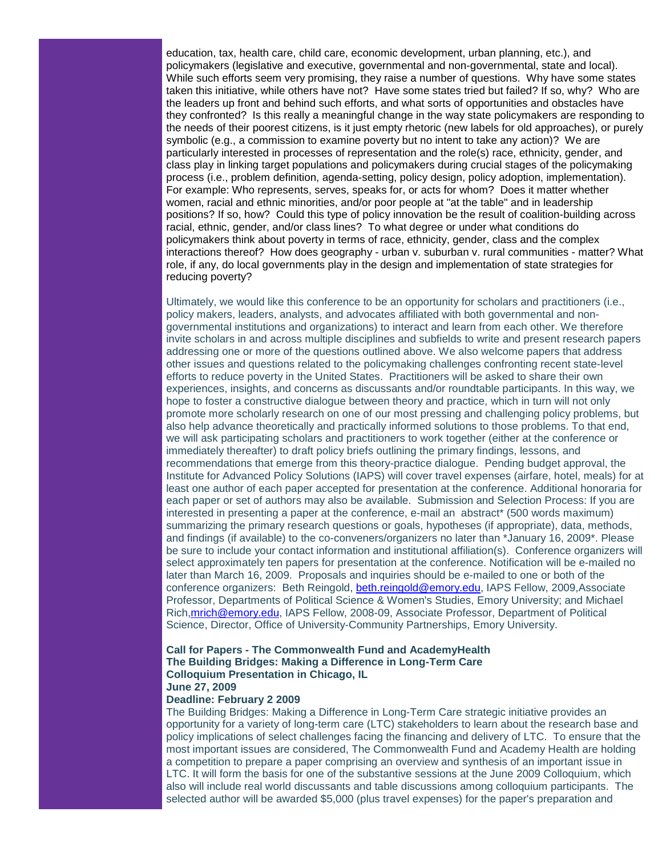education, tax, health care, child care, economic development, urban planning, etc.), and policymakers (legislative and executive, governmental and non-governmental, state and local). While such efforts seem very promising, they raise a number of questions. Why have some states taken this initiative, while others have not? Have some states tried but failed? If so, why? Who are the leaders up front and behind such efforts, and what sorts of opportunities and obstacles have they confronted? Is this really a meaningful change in the way state policymakers are responding to the needs of their poorest citizens, is it just empty rhetoric (new labels for old approaches), or purely symbolic (e.g., a commission to examine poverty but no intent to take any action)? We are particularly interested in processes of representation and the role(s) race, ethnicity, gender, and class play in linking target populations and policymakers during crucial stages of the policymaking process (i.e., problem definition, agenda-setting, policy design, policy adoption, implementation). For example: Who represents, serves, speaks for, or acts for whom? Does it matter whether women, racial and ethnic minorities, and/or poor people at "at the table" and in leadership positions? If so, how? Could this type of policy innovation be the result of coalition-building across racial, ethnic, gender, and/or class lines? To what degree or under what conditions do policymakers think about poverty in terms of race, ethnicity, gender, class and the complex interactions thereof? How does geography - urban v. suburban v. rural communities - matter? What role, if any, do local governments play in the design and implementation of state strategies for reducing poverty?

Ultimately, we would like this conference to be an opportunity for scholars and practitioners (i.e., policy makers, leaders, analysts, and advocates affiliated with both governmental and nongovernmental institutions and organizations) to interact and learn from each other. We therefore invite scholars in and across multiple disciplines and subfields to write and present research papers addressing one or more of the questions outlined above. We also welcome papers that address other issues and questions related to the policymaking challenges confronting recent state-level efforts to reduce poverty in the United States. Practitioners will be asked to share their own experiences, insights, and concerns as discussants and/or roundtable participants. In this way, we hope to foster a constructive dialogue between theory and practice, which in turn will not only promote more scholarly research on one of our most pressing and challenging policy problems, but also help advance theoretically and practically informed solutions to those problems. To that end, we will ask participating scholars and practitioners to work together (either at the conference or immediately thereafter) to draft policy briefs outlining the primary findings, lessons, and recommendations that emerge from this theory-practice dialogue. Pending budget approval, the Institute for Advanced Policy Solutions (IAPS) will cover travel expenses (airfare, hotel, meals) for at least one author of each paper accepted for presentation at the conference. Additional honoraria for each paper or set of authors may also be available. Submission and Selection Process: If you are interested in presenting a paper at the conference, e-mail an abstract\* (500 words maximum) summarizing the primary research questions or goals, hypotheses (if appropriate), data, methods, and findings (if available) to the co-conveners/organizers no later than \*January 16, 2009\*. Please be sure to include your contact information and institutional affiliation(s). Conference organizers will select approximately ten papers for presentation at the conference. Notification will be e-mailed no later than March 16, 2009. Proposals and inquiries should be e-mailed to one or both of the conference organizers: Beth Reingold, [beth.reingold@emory.edu,](mailto:beth.reingold@emory.edu) IAPS Fellow, 2009,Associate Professor, Departments of Political Science & Women's Studies, Emory University; and Michael Rich, mrich@emory.edu, IAPS Fellow, 2008-09, Associate Professor, Department of Political Science, Director, Office of University-Community Partnerships, Emory University.

# **Call for Papers - The Commonwealth Fund and AcademyHealth The Building Bridges: Making a Difference in Long-Term Care Colloquium Presentation in Chicago, IL June 27, 2009**

#### **Deadline: February 2 2009**

The Building Bridges: Making a Difference in Long-Term Care strategic initiative provides an opportunity for a variety of long-term care (LTC) stakeholders to learn about the research base and policy implications of select challenges facing the financing and delivery of LTC. To ensure that the most important issues are considered, The Commonwealth Fund and Academy Health are holding a competition to prepare a paper comprising an overview and synthesis of an important issue in LTC. It will form the basis for one of the substantive sessions at the June 2009 Colloquium, which also will include real world discussants and table discussions among colloquium participants. The selected author will be awarded \$5,000 (plus travel expenses) for the paper's preparation and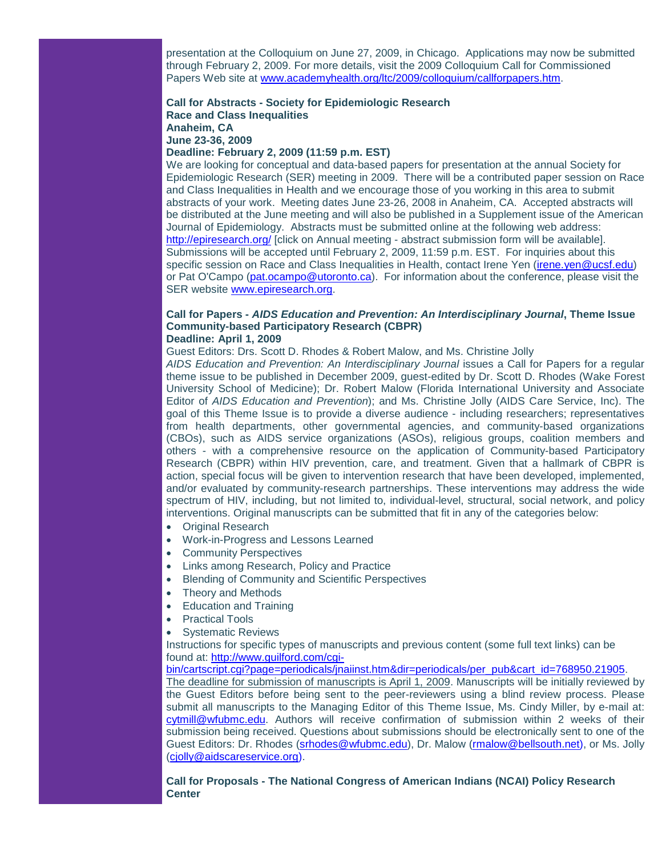presentation at the Colloquium on June 27, 2009, in Chicago. Applications may now be submitted through February 2, 2009. For more details, visit the 2009 Colloquium Call for Commissioned Papers Web site at [www.academyhealth.org/ltc/2009/colloquium/callforpapers.htm.](http://rs6.net/tn.jsp?e=001RPJ7iI0YTCaTUNiQf-6Uy9JmJy4YBDE8mLOlg90vq1BU-BrFfCyIPWSP3CNwNnHCvW-TIMY_0jBHlOU8zWsaAfjzBplM6sCx2u5NUWnZTTy1AklLVjAbvIvAa4D9smI_s6Y8_LPO8g-xkKCx49XvLA9mSjA-nQzWvGbEtQUUyEM=)

#### **Call for Abstracts - Society for Epidemiologic Research Race and Class Inequalities Anaheim, CA June 23-36, 2009 Deadline: February 2, 2009 (11:59 p.m. EST)**

We are looking for conceptual and data-based papers for presentation at the annual Society for Epidemiologic Research (SER) meeting in 2009. There will be a contributed paper session on Race and Class Inequalities in Health and we encourage those of you working in this area to submit abstracts of your work. Meeting dates June 23-26, 2008 in Anaheim, CA. Accepted abstracts will be distributed at the June meeting and will also be published in a Supplement issue of the American Journal of Epidemiology. Abstracts must be submitted online at the following web address: [http://epiresearch.org/](http://rs6.net/tn.jsp?e=001RPJ7iI0YTCajgZzNH57RbUZSKLN-XWcEWC8DzgEsEoZO2xY6xO4z3ghietqrh0Ncw6qxhnz17ZsGdUsYSI1YYQTDyPObV5ZLp2dPjUTKBvk=) [click on Annual meeting - abstract submission form will be available]. Submissions will be accepted until February 2, 2009, 11:59 p.m. EST. For inquiries about this specific session on Race and Class Inequalities in Health, contact Irene Yen [\(irene.yen@ucsf.edu\)](mailto:irene.yen@ucsf.edu) or Pat O'Campo [\(pat.ocampo@utoronto.ca\)](mailto:pat.ocampo@utoronto.ca). For information about the conference, please visit the SER website [www.epiresearch.org.](http://rs6.net/tn.jsp?e=001RPJ7iI0YTCbRhrNP_uTKRDsnSKPxuRgvIs83N84cBoCELf0olnzNWiVjZCpyw5C2Y2Ga60wm5tqWtWj0oBMlV73tF5FG_D74vsVM0oQOovnqd14Gnkf_yQ==)

#### **Call for Papers -** *AIDS Education and Prevention: An Interdisciplinary Journal***, Theme Issue Community-based Participatory Research (CBPR) Deadline: April 1, 2009**

Guest Editors: Drs. Scott D. Rhodes & Robert Malow, and Ms. Christine Jolly

*AIDS Education and Prevention: An Interdisciplinary Journal* issues a Call for Papers for a regular theme issue to be published in December 2009, guest-edited by Dr. Scott D. Rhodes (Wake Forest University School of Medicine); Dr. Robert Malow (Florida International University and Associate Editor of *AIDS Education and Prevention*); and Ms. Christine Jolly (AIDS Care Service, Inc). The goal of this Theme Issue is to provide a diverse audience - including researchers; representatives from health departments, other governmental agencies, and community-based organizations (CBOs), such as AIDS service organizations (ASOs), religious groups, coalition members and others - with a comprehensive resource on the application of Community-based Participatory Research (CBPR) within HIV prevention, care, and treatment. Given that a hallmark of CBPR is action, special focus will be given to intervention research that have been developed, implemented, and/or evaluated by community-research partnerships. These interventions may address the wide spectrum of HIV, including, but not limited to, individual-level, structural, social network, and policy interventions. Original manuscripts can be submitted that fit in any of the categories below:

- Original Research
- Work-in-Progress and Lessons Learned
- **Community Perspectives**
- Links among Research, Policy and Practice
- Blending of Community and Scientific Perspectives
- Theory and Methods
- Education and Training
- **Practical Tools**
- Systematic Reviews

Instructions for specific types of manuscripts and previous content (some full text links) can be found at: [http://www.guilford.com/cgi-](http://rs6.net/tn.jsp?e=001RPJ7iI0YTCZcmcYhNS1xgp_zmDUt0PyclTJLD3wvCu1Jah9gBahR0d76MJSKSm6UmVrZs3V97f70Da_4QEzImeWKyU8yhjiHL4lcq63AfVQPKXuzyUYquLzO3Nfblf_o-QTCoS_08LAqr-pLJ6xFehjRmtDwfpZ23L0JbMU9TXjtjPrkeqs1Zh54TseyV79FoDG3KeUDOXlLfsSCLKMR1zge6YbICVBIyfCD4WGAZBeyaLLv69h5dxC6uY9BJDQDkV_WWY8-7KU=)

[bin/cartscript.cgi?page=periodicals/jnaiinst.htm&dir=periodicals/per\\_pub&cart\\_id=768950.21905.](http://rs6.net/tn.jsp?e=001RPJ7iI0YTCZcmcYhNS1xgp_zmDUt0PyclTJLD3wvCu1Jah9gBahR0d76MJSKSm6UmVrZs3V97f70Da_4QEzImeWKyU8yhjiHL4lcq63AfVQPKXuzyUYquLzO3Nfblf_o-QTCoS_08LAqr-pLJ6xFehjRmtDwfpZ23L0JbMU9TXjtjPrkeqs1Zh54TseyV79FoDG3KeUDOXlLfsSCLKMR1zge6YbICVBIyfCD4WGAZBeyaLLv69h5dxC6uY9BJDQDkV_WWY8-7KU=) 

The deadline for submission of manuscripts is April 1, 2009. Manuscripts will be initially reviewed by the Guest Editors before being sent to the peer-reviewers using a blind review process. Please submit all manuscripts to the Managing Editor of this Theme Issue, Ms. Cindy Miller, by e-mail at: [cytmill@wfubmc.edu.](mailto:cytmill@wfubmc.edu) Authors will receive confirmation of submission within 2 weeks of their submission being received. Questions about submissions should be electronically sent to one of the Guest Editors: Dr. Rhodes [\(srhodes@wfubmc.edu\)](mailto:srhodes@wfubmc.edu), Dr. Malow [\(rmalow@bellsouth.net\)](mailto:rmalow@bellsouth.net), or Ms. Jolly [\(cjolly@aidscareservice.org\)](mailto:cjolly@aidscareservice.org).

**Call for Proposals - The National Congress of American Indians (NCAI) Policy Research Center**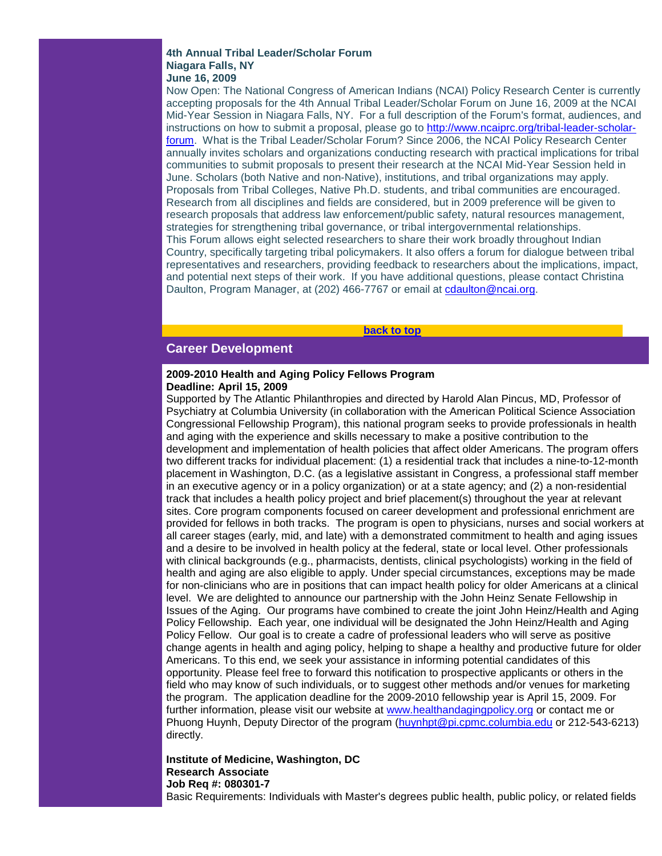#### **4th Annual Tribal Leader/Scholar Forum Niagara Falls, NY June 16, 2009**

Now Open: The National Congress of American Indians (NCAI) Policy Research Center is currently accepting proposals for the 4th Annual Tribal Leader/Scholar Forum on June 16, 2009 at the NCAI Mid-Year Session in Niagara Falls, NY. For a full description of the Forum's format, audiences, and instructions on how to submit a proposal, please go to [http://www.ncaiprc.org/tribal-leader-scholar](http://rs6.net/tn.jsp?e=001RPJ7iI0YTCZId6yA4D2lI7w_AOgEYl1rnlctfKkFlh9mhCGqhdzD0GaVh0Ycv1ytjTY2jgAI7eD5yo3BFViKsEU_rRFWwJlqhbEl67Qg883up0XYFPx1VvqO1jwUhBe-q_AIXKvNeQItkyKQE0iUSw==)[forum.](http://rs6.net/tn.jsp?e=001RPJ7iI0YTCZId6yA4D2lI7w_AOgEYl1rnlctfKkFlh9mhCGqhdzD0GaVh0Ycv1ytjTY2jgAI7eD5yo3BFViKsEU_rRFWwJlqhbEl67Qg883up0XYFPx1VvqO1jwUhBe-q_AIXKvNeQItkyKQE0iUSw==) What is the Tribal Leader/Scholar Forum? Since 2006, the NCAI Policy Research Center annually invites scholars and organizations conducting research with practical implications for tribal communities to submit proposals to present their research at the NCAI Mid-Year Session held in June. Scholars (both Native and non-Native), institutions, and tribal organizations may apply. Proposals from Tribal Colleges, Native Ph.D. students, and tribal communities are encouraged. Research from all disciplines and fields are considered, but in 2009 preference will be given to research proposals that address law enforcement/public safety, natural resources management, strategies for strengthening tribal governance, or tribal intergovernmental relationships. This Forum allows eight selected researchers to share their work broadly throughout Indian Country, specifically targeting tribal policymakers. It also offers a forum for dialogue between tribal representatives and researchers, providing feedback to researchers about the implications, impact, and potential next steps of their work. If you have additional questions, please contact Christina Daulton, Program Manager, at (202) 466-7767 or email at [cdaulton@ncai.org.](mailto:cdaulton@ncai.org)

**[back to top](#page-0-3)**

# <span id="page-8-0"></span>**Career Development**

#### **2009-2010 Health and Aging Policy Fellows Program Deadline: April 15, 2009**

Supported by The Atlantic Philanthropies and directed by Harold Alan Pincus, MD, Professor of Psychiatry at Columbia University (in collaboration with the American Political Science Association Congressional Fellowship Program), this national program seeks to provide professionals in health and aging with the experience and skills necessary to make a positive contribution to the development and implementation of health policies that affect older Americans. The program offers two different tracks for individual placement: (1) a residential track that includes a nine-to-12-month placement in Washington, D.C. (as a legislative assistant in Congress, a professional staff member in an executive agency or in a policy organization) or at a state agency; and (2) a non-residential track that includes a health policy project and brief placement(s) throughout the year at relevant sites. Core program components focused on career development and professional enrichment are provided for fellows in both tracks. The program is open to physicians, nurses and social workers at all career stages (early, mid, and late) with a demonstrated commitment to health and aging issues and a desire to be involved in health policy at the federal, state or local level. Other professionals with clinical backgrounds (e.g., pharmacists, dentists, clinical psychologists) working in the field of health and aging are also eligible to apply. Under special circumstances, exceptions may be made for non-clinicians who are in positions that can impact health policy for older Americans at a clinical level. We are delighted to announce our partnership with the John Heinz Senate Fellowship in Issues of the Aging. Our programs have combined to create the joint John Heinz/Health and Aging Policy Fellowship. Each year, one individual will be designated the John Heinz/Health and Aging Policy Fellow. Our goal is to create a cadre of professional leaders who will serve as positive change agents in health and aging policy, helping to shape a healthy and productive future for older Americans. To this end, we seek your assistance in informing potential candidates of this opportunity. Please feel free to forward this notification to prospective applicants or others in the field who may know of such individuals, or to suggest other methods and/or venues for marketing the program. The application deadline for the 2009-2010 fellowship year is April 15, 2009. For further information, please visit our website at [www.healthandagingpolicy.org](http://rs6.net/tn.jsp?e=001RPJ7iI0YTCZzUSzRLju-A7Lbr3DE7BYInJWJ6clkMBmLQhv0tlpm4my819DGaZ033N22e5phZtqgWYfwgfYG--Sl6-Lkiji3T9psvaW2NNkl1Wq1z7BrOG325yivBYpw) or contact me or Phuong Huynh, Deputy Director of the program [\(huynhpt@pi.cpmc.columbia.edu](mailto:huynhpt@pi.cpmc.columbia.edu) or 212-543-6213) directly.

# **Institute of Medicine, Washington, DC Research Associate Job Req #: 080301-7**

Basic Requirements: Individuals with Master's degrees public health, public policy, or related fields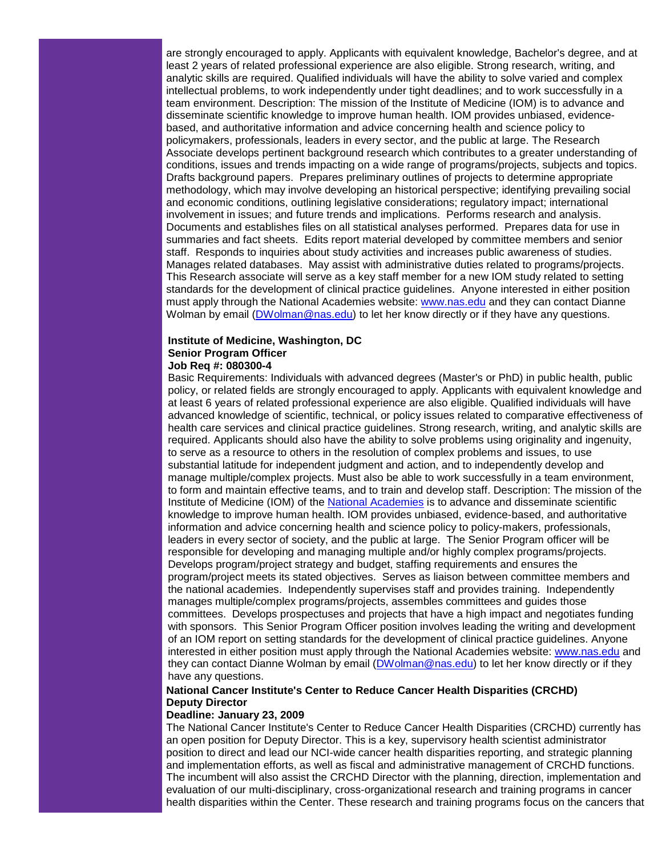are strongly encouraged to apply. Applicants with equivalent knowledge, Bachelor's degree, and at least 2 years of related professional experience are also eligible. Strong research, writing, and analytic skills are required. Qualified individuals will have the ability to solve varied and complex intellectual problems, to work independently under tight deadlines; and to work successfully in a team environment. Description: The mission of the Institute of Medicine (IOM) is to advance and disseminate scientific knowledge to improve human health. IOM provides unbiased, evidencebased, and authoritative information and advice concerning health and science policy to policymakers, professionals, leaders in every sector, and the public at large. The Research Associate develops pertinent background research which contributes to a greater understanding of conditions, issues and trends impacting on a wide range of programs/projects, subjects and topics. Drafts background papers. Prepares preliminary outlines of projects to determine appropriate methodology, which may involve developing an historical perspective; identifying prevailing social and economic conditions, outlining legislative considerations; regulatory impact; international involvement in issues; and future trends and implications. Performs research and analysis. Documents and establishes files on all statistical analyses performed. Prepares data for use in summaries and fact sheets. Edits report material developed by committee members and senior staff. Responds to inquiries about study activities and increases public awareness of studies. Manages related databases. May assist with administrative duties related to programs/projects. This Research associate will serve as a key staff member for a new IOM study related to setting standards for the development of clinical practice guidelines. Anyone interested in either position must apply through the National Academies website: [www.nas.edu](http://rs6.net/tn.jsp?e=001RPJ7iI0YTCbbpRtgR1YQCBKQgIzYdjlhfFb-xaVtIyWTW0rTKCTly7l8k-5yYoJMnJ0WAP7F6iEa2sWkOEGrIut7UmX-Xw6hfs_RDjrs5cg=) and they can contact Dianne Wolman by email [\(DWolman@nas.edu\)](mailto:DWolman@nas.edu) to let her know directly or if they have any questions.

# **Institute of Medicine, Washington, DC Senior Program Officer**

#### **Job Req #: 080300-4**

Basic Requirements: Individuals with advanced degrees (Master's or PhD) in public health, public policy, or related fields are strongly encouraged to apply. Applicants with equivalent knowledge and at least 6 years of related professional experience are also eligible. Qualified individuals will have advanced knowledge of scientific, technical, or policy issues related to comparative effectiveness of health care services and clinical practice guidelines. Strong research, writing, and analytic skills are required. Applicants should also have the ability to solve problems using originality and ingenuity, to serve as a resource to others in the resolution of complex problems and issues, to use substantial latitude for independent judgment and action, and to independently develop and manage multiple/complex projects. Must also be able to work successfully in a team environment, to form and maintain effective teams, and to train and develop staff. Description: The mission of the Institute of Medicine (IOM) of the [National Academies](http://rs6.net/tn.jsp?e=001RPJ7iI0YTCYv8nIxB4bLlCsZAQW_jtRg1h6xUPXwK4oN5qx0YljypVg1C6wmp05VB59b5y4BEmS8exb5FRnRNi5e-j2dqGDqmFhr85z3g_JJJx5BachR5Q==) is to advance and disseminate scientific knowledge to improve human health. IOM provides unbiased, evidence-based, and authoritative information and advice concerning health and science policy to policy-makers, professionals, leaders in every sector of society, and the public at large. The Senior Program officer will be responsible for developing and managing multiple and/or highly complex programs/projects. Develops program/project strategy and budget, staffing requirements and ensures the program/project meets its stated objectives. Serves as liaison between committee members and the national academies. Independently supervises staff and provides training. Independently manages multiple/complex programs/projects, assembles committees and guides those committees. Develops prospectuses and projects that have a high impact and negotiates funding with sponsors. This Senior Program Officer position involves leading the writing and development of an IOM report on setting standards for the development of clinical practice guidelines. Anyone interested in either position must apply through the National Academies website: [www.nas.edu](http://rs6.net/tn.jsp?e=001RPJ7iI0YTCbbpRtgR1YQCBKQgIzYdjlhfFb-xaVtIyWTW0rTKCTly7l8k-5yYoJMnJ0WAP7F6iEa2sWkOEGrIut7UmX-Xw6hfs_RDjrs5cg=) and they can contact Dianne Wolman by email [\(DWolman@nas.edu\)](mailto:DWolman@nas.edu) to let her know directly or if they have any questions.

# **National Cancer Institute's Center to Reduce Cancer Health Disparities (CRCHD) Deputy Director**

#### **Deadline: January 23, 2009**

The National Cancer Institute's Center to Reduce Cancer Health Disparities (CRCHD) currently has an open position for Deputy Director. This is a key, supervisory health scientist administrator position to direct and lead our NCI-wide cancer health disparities reporting, and strategic planning and implementation efforts, as well as fiscal and administrative management of CRCHD functions. The incumbent will also assist the CRCHD Director with the planning, direction, implementation and evaluation of our multi-disciplinary, cross-organizational research and training programs in cancer health disparities within the Center. These research and training programs focus on the cancers that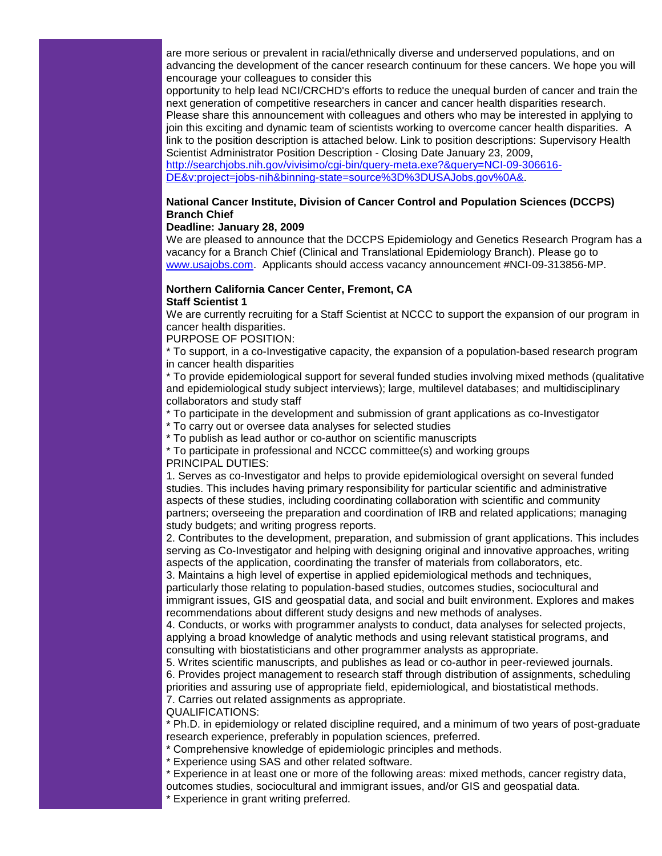are more serious or prevalent in racial/ethnically diverse and underserved populations, and on advancing the development of the cancer research continuum for these cancers. We hope you will encourage your colleagues to consider this

opportunity to help lead NCI/CRCHD's efforts to reduce the unequal burden of cancer and train the next generation of competitive researchers in cancer and cancer health disparities research. Please share this announcement with colleagues and others who may be interested in applying to join this exciting and dynamic team of scientists working to overcome cancer health disparities. A link to the position description is attached below. Link to position descriptions: Supervisory Health Scientist Administrator Position Description - Closing Date January 23, 2009,

[http://searchjobs.nih.gov/vivisimo/cgi-bin/query-meta.exe?&query=NCI-09-306616-](http://rs6.net/tn.jsp?e=001RPJ7iI0YTCb_vzBOxGPnFmmqLju5XZgEKvHj03y2QkPFnQ9O4ilSuFuI7VpSbstNFEKZk5AjzzRHRq-lf05QZV0GGkcXrNu5yCXmSwF3MJ5G3KgEfTneKgaJm1QZDmUv4NYdsCHRoaX0P-lUGdrmvrgIODk2SaKkMHxRIL4mSmcFDs0v5T7qfqFtJtMYuXNPplJU2rVeHMTg1k6fzKSZYdewaYmi6YxOHbXdwYVDrQcjlhjSGVnku6mOri-FMeU7fJYOaAwknbvS0jf3pmPEgvEou1XdWBxxztGrYGdyJphNbyG43X9Gtw==) [DE&v:project=jobs-nih&binning-state=source%3D%3DUSAJobs.gov%0A&.](http://rs6.net/tn.jsp?e=001RPJ7iI0YTCb_vzBOxGPnFmmqLju5XZgEKvHj03y2QkPFnQ9O4ilSuFuI7VpSbstNFEKZk5AjzzRHRq-lf05QZV0GGkcXrNu5yCXmSwF3MJ5G3KgEfTneKgaJm1QZDmUv4NYdsCHRoaX0P-lUGdrmvrgIODk2SaKkMHxRIL4mSmcFDs0v5T7qfqFtJtMYuXNPplJU2rVeHMTg1k6fzKSZYdewaYmi6YxOHbXdwYVDrQcjlhjSGVnku6mOri-FMeU7fJYOaAwknbvS0jf3pmPEgvEou1XdWBxxztGrYGdyJphNbyG43X9Gtw==)

#### **National Cancer Institute, Division of Cancer Control and Population Sciences (DCCPS) Branch Chief**

#### **Deadline: January 28, 2009**

We are pleased to announce that the DCCPS Epidemiology and Genetics Research Program has a vacancy for a Branch Chief (Clinical and Translational Epidemiology Branch). Please go to [www.usajobs.com.](http://rs6.net/tn.jsp?e=001RPJ7iI0YTCbT4_WO8qugoVm79RYTYKEa3TLYQI0zKtzM0-_935D-J6Nu3nLUQxL_TFYr7s0po9HKkx4p54I4IkI_gEIxbbOCxMN3g-dkCBU=) Applicants should access vacancy announcement #NCI-09-313856-MP.

# **Northern California Cancer Center, Fremont, CA Staff Scientist 1**

We are currently recruiting for a Staff Scientist at NCCC to support the expansion of our program in cancer health disparities.

PURPOSE OF POSITION:

\* To support, in a co-Investigative capacity, the expansion of a population-based research program in cancer health disparities

\* To provide epidemiological support for several funded studies involving mixed methods (qualitative and epidemiological study subject interviews); large, multilevel databases; and multidisciplinary collaborators and study staff

\* To participate in the development and submission of grant applications as co-Investigator

\* To carry out or oversee data analyses for selected studies

\* To publish as lead author or co-author on scientific manuscripts

\* To participate in professional and NCCC committee(s) and working groups PRINCIPAL DUTIES:

1. Serves as co-Investigator and helps to provide epidemiological oversight on several funded studies. This includes having primary responsibility for particular scientific and administrative aspects of these studies, including coordinating collaboration with scientific and community partners; overseeing the preparation and coordination of IRB and related applications; managing study budgets; and writing progress reports.

2. Contributes to the development, preparation, and submission of grant applications. This includes serving as Co-Investigator and helping with designing original and innovative approaches, writing aspects of the application, coordinating the transfer of materials from collaborators, etc.

3. Maintains a high level of expertise in applied epidemiological methods and techniques, particularly those relating to population-based studies, outcomes studies, sociocultural and immigrant issues, GIS and geospatial data, and social and built environment. Explores and makes recommendations about different study designs and new methods of analyses.

4. Conducts, or works with programmer analysts to conduct, data analyses for selected projects, applying a broad knowledge of analytic methods and using relevant statistical programs, and consulting with biostatisticians and other programmer analysts as appropriate.

5. Writes scientific manuscripts, and publishes as lead or co-author in peer-reviewed journals. 6. Provides project management to research staff through distribution of assignments, scheduling priorities and assuring use of appropriate field, epidemiological, and biostatistical methods.

7. Carries out related assignments as appropriate.

QUALIFICATIONS:

\* Ph.D. in epidemiology or related discipline required, and a minimum of two years of post-graduate research experience, preferably in population sciences, preferred.

\* Comprehensive knowledge of epidemiologic principles and methods.

\* Experience using SAS and other related software.

\* Experience in at least one or more of the following areas: mixed methods, cancer registry data, outcomes studies, sociocultural and immigrant issues, and/or GIS and geospatial data.

\* Experience in grant writing preferred.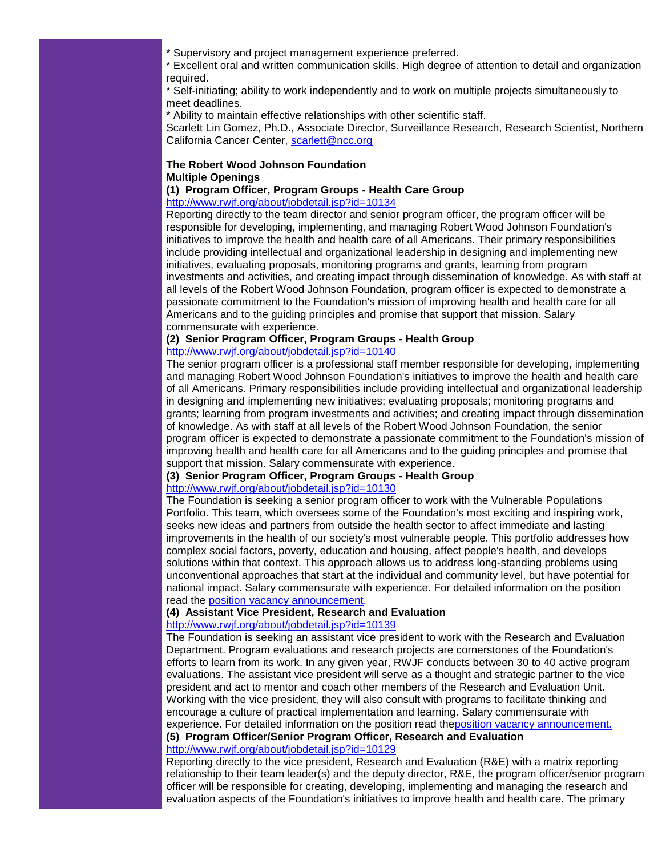\* Supervisory and project management experience preferred.

\* Excellent oral and written communication skills. High degree of attention to detail and organization required.

\* Self-initiating; ability to work independently and to work on multiple projects simultaneously to meet deadlines.

\* Ability to maintain effective relationships with other scientific staff.

Scarlett Lin Gomez, Ph.D., Associate Director, Surveillance Research, Research Scientist, Northern California Cancer Center, [scarlett@ncc.org](mailto:scarlett@ncc.org)

# **The Robert Wood Johnson Foundation Multiple Openings**

# **(1) Program Officer, Program Groups - Health Care Group**

[http://www.rwjf.org/about/jobdetail.jsp?id=10134](http://rs6.net/tn.jsp?e=001RPJ7iI0YTCbAxaPMnqz_EhgeUOfLnyO8vOCfumXp1T4C1jIRommL_0BNfv6Cs9bLLgfMSWVXPYTsZWDGcR2mgdGimUrXZxGcCPZkhh6GWwdgz2b9tS0ALyg8UP__c48g5cV2PCRpUGhQYqiU6DwmoA==)

Reporting directly to the team director and senior program officer, the program officer will be responsible for developing, implementing, and managing Robert Wood Johnson Foundation's initiatives to improve the health and health care of all Americans. Their primary responsibilities include providing intellectual and organizational leadership in designing and implementing new initiatives, evaluating proposals, monitoring programs and grants, learning from program investments and activities, and creating impact through dissemination of knowledge. As with staff at all levels of the Robert Wood Johnson Foundation, program officer is expected to demonstrate a passionate commitment to the Foundation's mission of improving health and health care for all Americans and to the guiding principles and promise that support that mission. Salary commensurate with experience.

# **(2) Senior Program Officer, Program Groups - Health Group**

# [http://www.rwjf.org/about/jobdetail.jsp?id=10140](http://rs6.net/tn.jsp?e=001RPJ7iI0YTCZetP3WIbcfu3Fuy3STnUmWuFcp-uUj1DeTN94z4nA473iQep4EZrt3Lu4-rVD_84C6DOB6cT4-8vNgqUwywZ-OpIgufUX_KRdLb6oy0yvfn0NEyoWH2Yj8ux3VaPzeiUIClPT8F5kq6g==)

The senior program officer is a professional staff member responsible for developing, implementing and managing Robert Wood Johnson Foundation's initiatives to improve the health and health care of all Americans. Primary responsibilities include providing intellectual and organizational leadership in designing and implementing new initiatives; evaluating proposals; monitoring programs and grants; learning from program investments and activities; and creating impact through dissemination of knowledge. As with staff at all levels of the Robert Wood Johnson Foundation, the senior program officer is expected to demonstrate a passionate commitment to the Foundation's mission of improving health and health care for all Americans and to the guiding principles and promise that support that mission. Salary commensurate with experience.

# **(3) Senior Program Officer, Program Groups - Health Group**

# [http://www.rwjf.org/about/jobdetail.jsp?id=10130](http://rs6.net/tn.jsp?e=001RPJ7iI0YTCYoXcIgIJg7XFkKcUaIjh7sqxpixCvyGH1LDH3j7_ZxLEnJ1wVmuO69xVFEo5XG448PXp1TIALYZs_hPCg8Zpk7i2taTA50E9c9eOvN77RnDJ2e-S4iOAXy8YCQssD8pkqMb_nwBDWxVw==)

The Foundation is seeking a senior program officer to work with the Vulnerable Populations Portfolio. This team, which oversees some of the Foundation's most exciting and inspiring work, seeks new ideas and partners from outside the health sector to affect immediate and lasting improvements in the health of our society's most vulnerable people. This portfolio addresses how complex social factors, poverty, education and housing, affect people's health, and develops solutions within that context. This approach allows us to address long-standing problems using unconventional approaches that start at the individual and community level, but have potential for national impact. Salary commensurate with experience. For detailed information on the position read the [position vacancy announcement.](http://rs6.net/tn.jsp?e=001RPJ7iI0YTCY95KEjkfTzvPvREC43JsUylkj6KKTR0-djWD9D8eUKe0lAu3ovxN0rToxv0J3bsvP6dA156xKxwytHREGwH1oCzPD0iOIz-J5ubZI8hT_6lwJN2K0EAnfLkMMO1qA8bvgJIQKMVhcTPw==)

# **(4) Assistant Vice President, Research and Evaluation**

#### [http://www.rwjf.org/about/jobdetail.jsp?id=10139](http://rs6.net/tn.jsp?e=001RPJ7iI0YTCY_L-86ST1ZRjW4oGvAjnQHpTBWil9uZpJTkmD0zSL8GO1gNpYz5edEqY_4poH__edGTvh8g81aS6d1kO7G1sgeMUkLXJx4IDessjtFYf-liCeeaV4roLT_otYJZS7Wy_6tSFlKyP5sfQ==)

The Foundation is seeking an assistant vice president to work with the Research and Evaluation Department. Program evaluations and research projects are cornerstones of the Foundation's efforts to learn from its work. In any given year, RWJF conducts between 30 to 40 active program evaluations. The assistant vice president will serve as a thought and strategic partner to the vice president and act to mentor and coach other members of the Research and Evaluation Unit. Working with the vice president, they will also consult with programs to facilitate thinking and encourage a culture of practical implementation and learning. Salary commensurate with experience. For detailed information on the position read th[eposition vacancy announcement.](http://rs6.net/tn.jsp?e=001RPJ7iI0YTCb68VJD90IXJuWANWQJtDRg9ctQeHnwIwEm8gy1BCghP6TEXVVz6r8BWacQeGA2c7PEd8clv2zkkKaCqx0mf6S8RWmVStsgP0a5RC1ydPyYEMstdSQl5oeILEjliQBjwU-joWuttGd9lQ==)

**(5) Program Officer/Senior Program Officer, Research and Evaluation** [http://www.rwjf.org/about/jobdetail.jsp?id=10129](http://rs6.net/tn.jsp?e=001RPJ7iI0YTCagqBs_jgWyYuuOojKE-ZEGt9Iyq4Tom0sfQJqj4pffZ4AAiy0gBZaTfxNnObQuY_km9trPWh03uMnmW193SZVrZ6zdbD91qQ5NgKv83gsn64O4sgh0g_Gg4WMNpUv0T7P1EPndQ8DybQ==)

Reporting directly to the vice president, Research and Evaluation (R&E) with a matrix reporting relationship to their team leader(s) and the deputy director, R&E, the program officer/senior program officer will be responsible for creating, developing, implementing and managing the research and evaluation aspects of the Foundation's initiatives to improve health and health care. The primary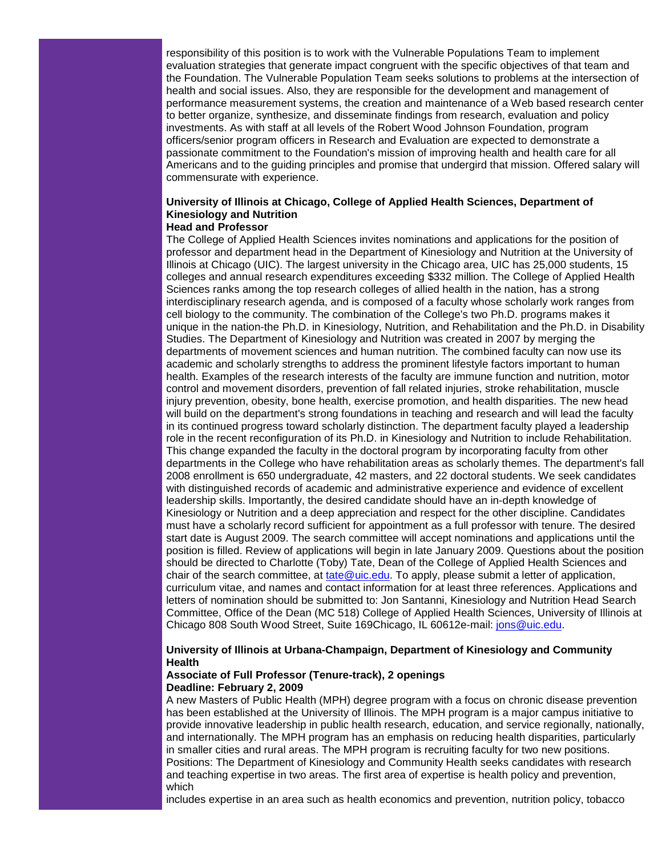responsibility of this position is to work with the Vulnerable Populations Team to implement evaluation strategies that generate impact congruent with the specific objectives of that team and the Foundation. The Vulnerable Population Team seeks solutions to problems at the intersection of health and social issues. Also, they are responsible for the development and management of performance measurement systems, the creation and maintenance of a Web based research center to better organize, synthesize, and disseminate findings from research, evaluation and policy investments. As with staff at all levels of the Robert Wood Johnson Foundation, program officers/senior program officers in Research and Evaluation are expected to demonstrate a passionate commitment to the Foundation's mission of improving health and health care for all Americans and to the guiding principles and promise that undergird that mission. Offered salary will commensurate with experience.

# **University of Illinois at Chicago, College of Applied Health Sciences, Department of Kinesiology and Nutrition**

#### **Head and Professor**

The College of Applied Health Sciences invites nominations and applications for the position of professor and department head in the Department of Kinesiology and Nutrition at the University of Illinois at Chicago (UIC). The largest university in the Chicago area, UIC has 25,000 students, 15 colleges and annual research expenditures exceeding \$332 million. The College of Applied Health Sciences ranks among the top research colleges of allied health in the nation, has a strong interdisciplinary research agenda, and is composed of a faculty whose scholarly work ranges from cell biology to the community. The combination of the College's two Ph.D. programs makes it unique in the nation-the Ph.D. in Kinesiology, Nutrition, and Rehabilitation and the Ph.D. in Disability Studies. The Department of Kinesiology and Nutrition was created in 2007 by merging the departments of movement sciences and human nutrition. The combined faculty can now use its academic and scholarly strengths to address the prominent lifestyle factors important to human health. Examples of the research interests of the faculty are immune function and nutrition, motor control and movement disorders, prevention of fall related injuries, stroke rehabilitation, muscle injury prevention, obesity, bone health, exercise promotion, and health disparities. The new head will build on the department's strong foundations in teaching and research and will lead the faculty in its continued progress toward scholarly distinction. The department faculty played a leadership role in the recent reconfiguration of its Ph.D. in Kinesiology and Nutrition to include Rehabilitation. This change expanded the faculty in the doctoral program by incorporating faculty from other departments in the College who have rehabilitation areas as scholarly themes. The department's fall 2008 enrollment is 650 undergraduate, 42 masters, and 22 doctoral students. We seek candidates with distinguished records of academic and administrative experience and evidence of excellent leadership skills. Importantly, the desired candidate should have an in-depth knowledge of Kinesiology or Nutrition and a deep appreciation and respect for the other discipline. Candidates must have a scholarly record sufficient for appointment as a full professor with tenure. The desired start date is August 2009. The search committee will accept nominations and applications until the position is filled. Review of applications will begin in late January 2009. Questions about the position should be directed to Charlotte (Toby) Tate, Dean of the College of Applied Health Sciences and chair of the search committee, at [tate@uic.edu.](mailto:tate@uic.edu) To apply, please submit a letter of application, curriculum vitae, and names and contact information for at least three references. Applications and letters of nomination should be submitted to: Jon Santanni, Kinesiology and Nutrition Head Search Committee, Office of the Dean (MC 518) College of Applied Health Sciences, University of Illinois at Chicago 808 South Wood Street, Suite 169Chicago, IL 60612e-mail: [jons@uic.edu.](mailto:jons@uic.edu)

# **University of Illinois at Urbana-Champaign, Department of Kinesiology and Community Health**

#### **Associate of Full Professor (Tenure-track), 2 openings Deadline: February 2, 2009**

A new Masters of Public Health (MPH) degree program with a focus on chronic disease prevention has been established at the University of Illinois. The MPH program is a major campus initiative to provide innovative leadership in public health research, education, and service regionally, nationally, and internationally. The MPH program has an emphasis on reducing health disparities, particularly in smaller cities and rural areas. The MPH program is recruiting faculty for two new positions. Positions: The Department of Kinesiology and Community Health seeks candidates with research and teaching expertise in two areas. The first area of expertise is health policy and prevention, which

includes expertise in an area such as health economics and prevention, nutrition policy, tobacco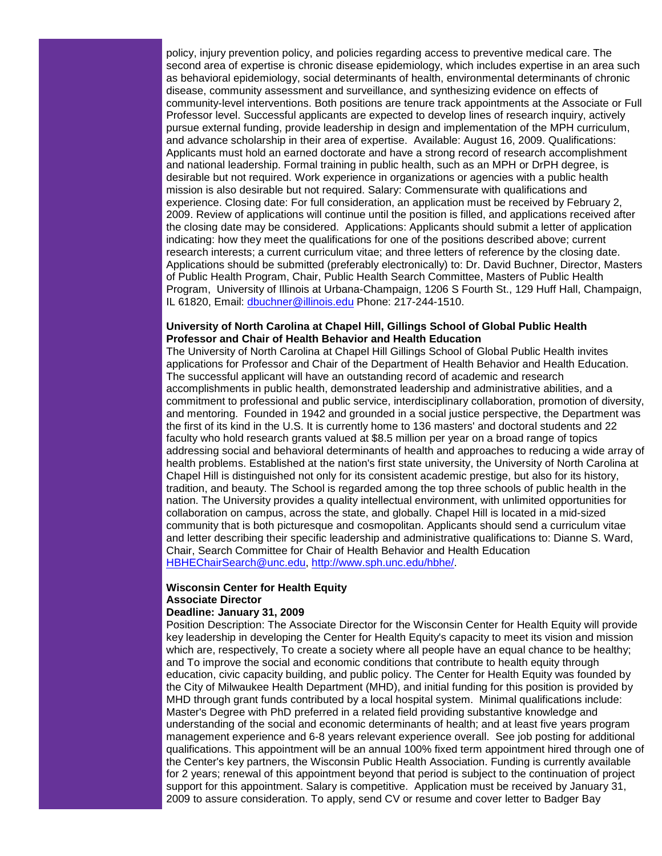policy, injury prevention policy, and policies regarding access to preventive medical care. The second area of expertise is chronic disease epidemiology, which includes expertise in an area such as behavioral epidemiology, social determinants of health, environmental determinants of chronic disease, community assessment and surveillance, and synthesizing evidence on effects of community-level interventions. Both positions are tenure track appointments at the Associate or Full Professor level. Successful applicants are expected to develop lines of research inquiry, actively pursue external funding, provide leadership in design and implementation of the MPH curriculum, and advance scholarship in their area of expertise. Available: August 16, 2009. Qualifications: Applicants must hold an earned doctorate and have a strong record of research accomplishment and national leadership. Formal training in public health, such as an MPH or DrPH degree, is desirable but not required. Work experience in organizations or agencies with a public health mission is also desirable but not required. Salary: Commensurate with qualifications and experience. Closing date: For full consideration, an application must be received by February 2, 2009. Review of applications will continue until the position is filled, and applications received after the closing date may be considered. Applications: Applicants should submit a letter of application indicating: how they meet the qualifications for one of the positions described above; current research interests; a current curriculum vitae; and three letters of reference by the closing date. Applications should be submitted (preferably electronically) to: Dr. David Buchner, Director, Masters of Public Health Program, Chair, Public Health Search Committee, Masters of Public Health Program, University of Illinois at Urbana-Champaign, 1206 S Fourth St., 129 Huff Hall, Champaign, IL 61820, Email: [dbuchner@illinois.edu](mailto:dbuchner@illinois.edu) Phone: 217-244-1510.

#### **University of North Carolina at Chapel Hill, Gillings School of Global Public Health Professor and Chair of Health Behavior and Health Education**

The University of North Carolina at Chapel Hill Gillings School of Global Public Health invites applications for Professor and Chair of the Department of Health Behavior and Health Education. The successful applicant will have an outstanding record of academic and research accomplishments in public health, demonstrated leadership and administrative abilities, and a commitment to professional and public service, interdisciplinary collaboration, promotion of diversity, and mentoring. Founded in 1942 and grounded in a social justice perspective, the Department was the first of its kind in the U.S. It is currently home to 136 masters' and doctoral students and 22 faculty who hold research grants valued at \$8.5 million per year on a broad range of topics addressing social and behavioral determinants of health and approaches to reducing a wide array of health problems. Established at the nation's first state university, the University of North Carolina at Chapel Hill is distinguished not only for its consistent academic prestige, but also for its history, tradition, and beauty. The School is regarded among the top three schools of public health in the nation. The University provides a quality intellectual environment, with unlimited opportunities for collaboration on campus, across the state, and globally. Chapel Hill is located in a mid-sized community that is both picturesque and cosmopolitan. Applicants should send a curriculum vitae and letter describing their specific leadership and administrative qualifications to: Dianne S. Ward, Chair, Search Committee for Chair of Health Behavior and Health Education [HBHEChairSearch@unc.edu,](mailto:HBHEChairSearch@unc.edu) [http://www.sph.unc.edu/hbhe/.](http://rs6.net/tn.jsp?e=001RPJ7iI0YTCbC6pBwTCCyoIxx-ERNUfhObVMHfsuKon-sRuaTkqNW2Uz8P8RubxtDbPU9FgLK95kYcrUtViAkCtxZML_4pd6_gjJ9YRz7BztZENuZKGwHnw==)

# **Wisconsin Center for Health Equity Associate Director**

# **Deadline: January 31, 2009**

Position Description: The Associate Director for the Wisconsin Center for Health Equity will provide key leadership in developing the Center for Health Equity's capacity to meet its vision and mission which are, respectively, To create a society where all people have an equal chance to be healthy; and To improve the social and economic conditions that contribute to health equity through education, civic capacity building, and public policy. The Center for Health Equity was founded by the City of Milwaukee Health Department (MHD), and initial funding for this position is provided by MHD through grant funds contributed by a local hospital system. Minimal qualifications include: Master's Degree with PhD preferred in a related field providing substantive knowledge and understanding of the social and economic determinants of health; and at least five years program management experience and 6-8 years relevant experience overall. See job posting for additional qualifications. This appointment will be an annual 100% fixed term appointment hired through one of the Center's key partners, the Wisconsin Public Health Association. Funding is currently available for 2 years; renewal of this appointment beyond that period is subject to the continuation of project support for this appointment. Salary is competitive. Application must be received by January 31, 2009 to assure consideration. To apply, send CV or resume and cover letter to Badger Bay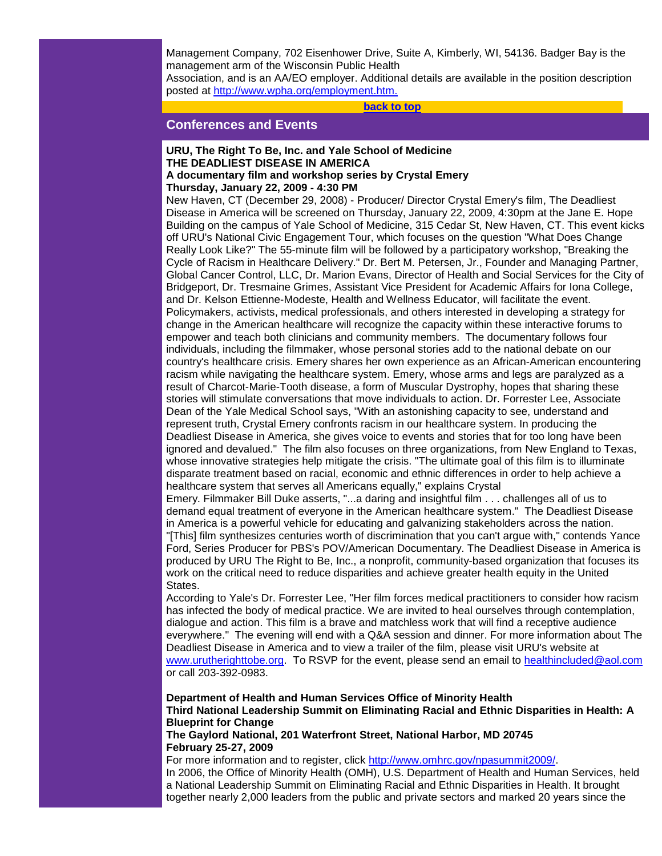Management Company, 702 Eisenhower Drive, Suite A, Kimberly, WI, 54136. Badger Bay is the management arm of the Wisconsin Public Health

Association, and is an AA/EO employer. Additional details are available in the position description posted at [http://www.wpha.org/employment.htm.](http://rs6.net/tn.jsp?e=001RPJ7iI0YTCaxatEN9ok2bDEOr6xy0TInD5AMOXFm4F7lXQCqHlae6YkBQRmMbDtTUJTwR8A_oP2kSMH3zZ0Nbdts9xivpQuIqYt6Q3GYwlF0S6BUcQX44tMuvDkrUS-J)

**[back to top](#page-0-3)**

# <span id="page-14-0"></span>**Conferences and Events**

#### **URU, The Right To Be, Inc. and Yale School of Medicine THE DEADLIEST DISEASE IN AMERICA A documentary film and workshop series by Crystal Emery**

#### **Thursday, January 22, 2009 - 4:30 PM**

New Haven, CT (December 29, 2008) - Producer/ Director Crystal Emery's film, The Deadliest Disease in America will be screened on Thursday, January 22, 2009, 4:30pm at the Jane E. Hope Building on the campus of Yale School of Medicine, 315 Cedar St, New Haven, CT. This event kicks off URU's National Civic Engagement Tour, which focuses on the question "What Does Change Really Look Like?" The 55-minute film will be followed by a participatory workshop, "Breaking the Cycle of Racism in Healthcare Delivery." Dr. Bert M. Petersen, Jr., Founder and Managing Partner, Global Cancer Control, LLC, Dr. Marion Evans, Director of Health and Social Services for the City of Bridgeport, Dr. Tresmaine Grimes, Assistant Vice President for Academic Affairs for Iona College, and Dr. Kelson Ettienne-Modeste, Health and Wellness Educator, will facilitate the event. Policymakers, activists, medical professionals, and others interested in developing a strategy for change in the American healthcare will recognize the capacity within these interactive forums to empower and teach both clinicians and community members. The documentary follows four individuals, including the filmmaker, whose personal stories add to the national debate on our country's healthcare crisis. Emery shares her own experience as an African-American encountering racism while navigating the healthcare system. Emery, whose arms and legs are paralyzed as a result of Charcot-Marie-Tooth disease, a form of Muscular Dystrophy, hopes that sharing these stories will stimulate conversations that move individuals to action. Dr. Forrester Lee, Associate Dean of the Yale Medical School says, "With an astonishing capacity to see, understand and represent truth, Crystal Emery confronts racism in our healthcare system. In producing the Deadliest Disease in America, she gives voice to events and stories that for too long have been ignored and devalued." The film also focuses on three organizations, from New England to Texas, whose innovative strategies help mitigate the crisis. "The ultimate goal of this film is to illuminate disparate treatment based on racial, economic and ethnic differences in order to help achieve a healthcare system that serves all Americans equally," explains Crystal

Emery. Filmmaker Bill Duke asserts, "...a daring and insightful film . . . challenges all of us to demand equal treatment of everyone in the American healthcare system." The Deadliest Disease in America is a powerful vehicle for educating and galvanizing stakeholders across the nation. "[This] film synthesizes centuries worth of discrimination that you can't argue with," contends Yance Ford, Series Producer for PBS's POV/American Documentary. The Deadliest Disease in America is produced by URU The Right to Be, Inc., a nonprofit, community-based organization that focuses its work on the critical need to reduce disparities and achieve greater health equity in the United States.

According to Yale's Dr. Forrester Lee, "Her film forces medical practitioners to consider how racism has infected the body of medical practice. We are invited to heal ourselves through contemplation, dialogue and action. This film is a brave and matchless work that will find a receptive audience everywhere." The evening will end with a Q&A session and dinner. For more information about The Deadliest Disease in America and to view a trailer of the film, please visit URU's website at [www.urutherighttobe.org.](http://rs6.net/tn.jsp?e=001RPJ7iI0YTCaI4vGasjVu89wn_6RF116TzHiHg3lW2OT57GAidi3ufGWvlBg4OyjsWhbzhGuy2nEqmSaHySQ_o64DCEOxMbyhkzUdSJxiOs1c2BtyUWxyJA==) To RSVP for the event, please send an email to [healthincluded@aol.com](mailto:healthincluded@aol.com) or call 203-392-0983.

# **Department of Health and Human Services Office of Minority Health Third National Leadership Summit on Eliminating Racial and Ethnic Disparities in Health: A Blueprint for Change**

**The Gaylord National, 201 Waterfront Street, National Harbor, MD 20745 February 25-27, 2009**

For more information and to register, click [http://www.omhrc.gov/npasummit2009/.](http://rs6.net/tn.jsp?e=001RPJ7iI0YTCZ4CRpq93e0_Q-BJkUhcvC7HWsneNHViXdQUak-1YN-8eszLLti7m_y3IiirKDkMQDCKMQYOiB-6ns0y7nvIRLmh-Q-motdnqmM8iQnXZB3Qq20Ql7oyKBF) In 2006, the Office of Minority Health (OMH), U.S. Department of Health and Human Services, held a National Leadership Summit on Eliminating Racial and Ethnic Disparities in Health. It brought together nearly 2,000 leaders from the public and private sectors and marked 20 years since the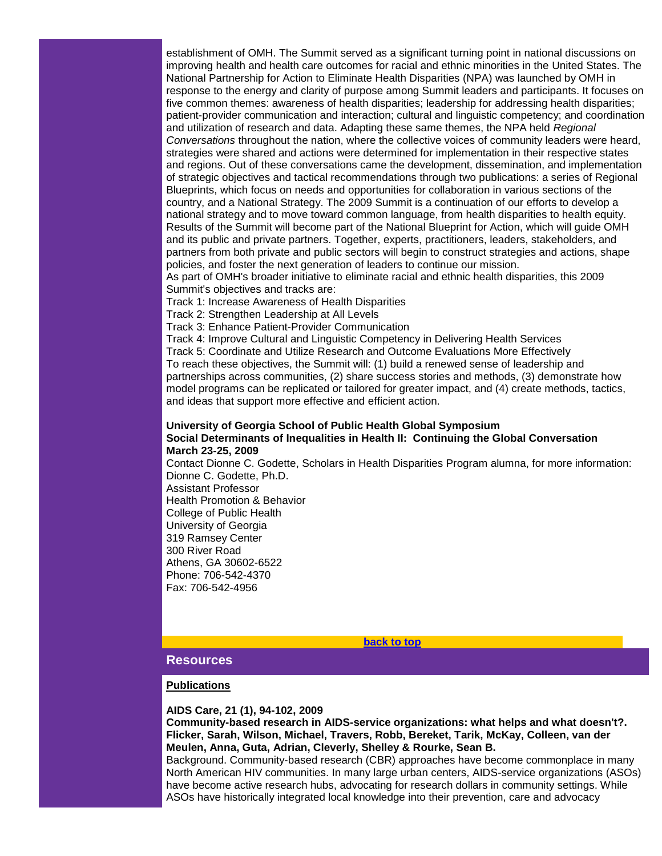establishment of OMH. The Summit served as a significant turning point in national discussions on improving health and health care outcomes for racial and ethnic minorities in the United States. The National Partnership for Action to Eliminate Health Disparities (NPA) was launched by OMH in response to the energy and clarity of purpose among Summit leaders and participants. It focuses on five common themes: awareness of health disparities; leadership for addressing health disparities; patient-provider communication and interaction; cultural and linguistic competency; and coordination and utilization of research and data. Adapting these same themes, the NPA held *Regional Conversations* throughout the nation, where the collective voices of community leaders were heard, strategies were shared and actions were determined for implementation in their respective states and regions. Out of these conversations came the development, dissemination, and implementation of strategic objectives and tactical recommendations through two publications: a series of Regional Blueprints, which focus on needs and opportunities for collaboration in various sections of the country, and a National Strategy. The 2009 Summit is a continuation of our efforts to develop a national strategy and to move toward common language, from health disparities to health equity. Results of the Summit will become part of the National Blueprint for Action, which will guide OMH and its public and private partners. Together, experts, practitioners, leaders, stakeholders, and partners from both private and public sectors will begin to construct strategies and actions, shape policies, and foster the next generation of leaders to continue our mission.

As part of OMH's broader initiative to eliminate racial and ethnic health disparities, this 2009 Summit's objectives and tracks are:

Track 1: Increase Awareness of Health Disparities

Track 2: Strengthen Leadership at All Levels

Track 3: Enhance Patient-Provider Communication

Track 4: Improve Cultural and Linguistic Competency in Delivering Health Services Track 5: Coordinate and Utilize Research and Outcome Evaluations More Effectively To reach these objectives, the Summit will: (1) build a renewed sense of leadership and partnerships across communities, (2) share success stories and methods, (3) demonstrate how model programs can be replicated or tailored for greater impact, and (4) create methods, tactics, and ideas that support more effective and efficient action.

#### **University of Georgia School of Public Health Global Symposium Social Determinants of Inequalities in Health II: Continuing the Global Conversation March 23-25, 2009**

Contact Dionne C. Godette, Scholars in Health Disparities Program alumna, for more information: Dionne C. Godette, Ph.D. Assistant Professor

Health Promotion & Behavior College of Public Health University of Georgia 319 Ramsey Center 300 River Road Athens, GA 30602-6522 Phone: 706-542-4370 Fax: 706-542-4956

**[back to top](#page-0-3)**

#### <span id="page-15-0"></span>**Resources**

#### **Publications**

#### **AIDS Care, 21 (1), 94-102, 2009**

**Community-based research in AIDS-service organizations: what helps and what doesn't?. Flicker, Sarah, Wilson, Michael, Travers, Robb, Bereket, Tarik, McKay, Colleen, van der Meulen, Anna, Guta, Adrian, Cleverly, Shelley & Rourke, Sean B.** 

Background. Community-based research (CBR) approaches have become commonplace in many North American HIV communities. In many large urban centers, AIDS-service organizations (ASOs) have become active research hubs, advocating for research dollars in community settings. While ASOs have historically integrated local knowledge into their prevention, care and advocacy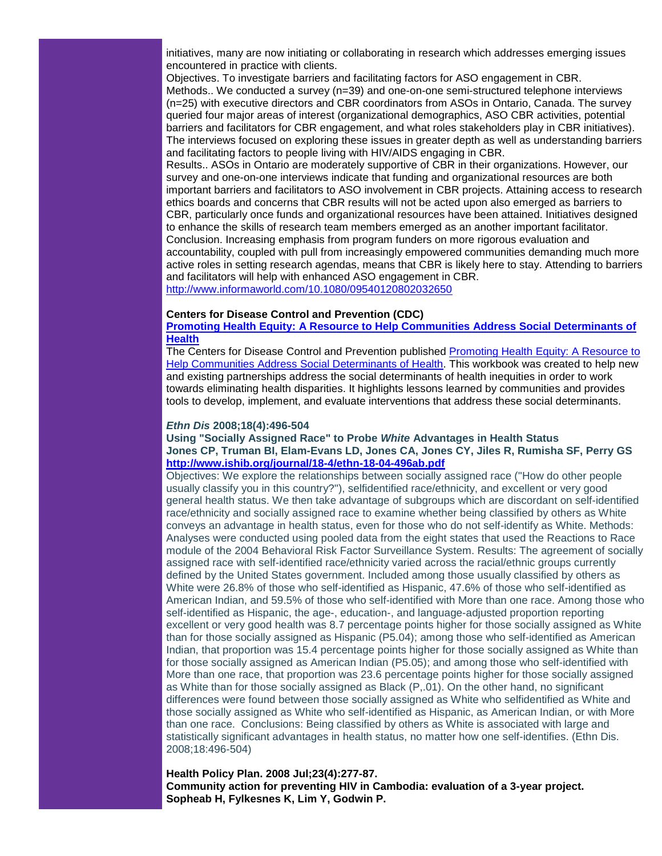initiatives, many are now initiating or collaborating in research which addresses emerging issues encountered in practice with clients.

Objectives. To investigate barriers and facilitating factors for ASO engagement in CBR. Methods.. We conducted a survey (n=39) and one-on-one semi-structured telephone interviews (n=25) with executive directors and CBR coordinators from ASOs in Ontario, Canada. The survey queried four major areas of interest (organizational demographics, ASO CBR activities, potential barriers and facilitators for CBR engagement, and what roles stakeholders play in CBR initiatives). The interviews focused on exploring these issues in greater depth as well as understanding barriers and facilitating factors to people living with HIV/AIDS engaging in CBR.

Results.. ASOs in Ontario are moderately supportive of CBR in their organizations. However, our survey and one-on-one interviews indicate that funding and organizational resources are both important barriers and facilitators to ASO involvement in CBR projects. Attaining access to research ethics boards and concerns that CBR results will not be acted upon also emerged as barriers to CBR, particularly once funds and organizational resources have been attained. Initiatives designed to enhance the skills of research team members emerged as an another important facilitator. Conclusion. Increasing emphasis from program funders on more rigorous evaluation and accountability, coupled with pull from increasingly empowered communities demanding much more active roles in setting research agendas, means that CBR is likely here to stay. Attending to barriers and facilitators will help with enhanced ASO engagement in CBR.

[http://www.informaworld.com/10.1080/09540120802032650](http://rs6.net/tn.jsp?e=001RPJ7iI0YTCb-Pr7TVWUoHoc2UjW1BT6950atYmPN6sZK34UNez-UrBagoRjsc58FY1_9i_lKPK6dAfE2kMdHfqaF25b5HfwzoYVaDyah7R-4NBj72l5_jxlUnjj6O9aZxGggICtYIUD7OeKSZcCF3w==)

#### **Centers for Disease Control and Prevention (CDC)**

#### **[Promoting Health Equity: A Resource to Help Communities Address Social Determinants of](http://rs6.net/tn.jsp?e=001RPJ7iI0YTCYupUeOyvtzJ-8-DhXDOFs2AvwmL0u4a8xmJJ3vBhzw7t6TYeE4g5rUaT9HKaxCVumQ_CX7Ncr9KhInBXwB9PyFW9mn5Kvj2TYsLgxGAENZ2SN7NfqZ5mR6MtXSN0DEUzCwdB9l91kaw2SKZyk56LB0ZNBE9iUO1Ak=)  [Health](http://rs6.net/tn.jsp?e=001RPJ7iI0YTCYupUeOyvtzJ-8-DhXDOFs2AvwmL0u4a8xmJJ3vBhzw7t6TYeE4g5rUaT9HKaxCVumQ_CX7Ncr9KhInBXwB9PyFW9mn5Kvj2TYsLgxGAENZ2SN7NfqZ5mR6MtXSN0DEUzCwdB9l91kaw2SKZyk56LB0ZNBE9iUO1Ak=)**

The Centers for Disease Control and Prevention published Promoting Health Equity: A Resource to [Help Communities Address Social Determinants of Health.](http://rs6.net/tn.jsp?e=001RPJ7iI0YTCYupUeOyvtzJ-8-DhXDOFs2AvwmL0u4a8xmJJ3vBhzw7t6TYeE4g5rUaT9HKaxCVumQ_CX7Ncr9KhInBXwB9PyFW9mn5Kvj2TYsLgxGAENZ2SN7NfqZ5mR6MtXSN0DEUzCwdB9l91kaw2SKZyk56LB0ZNBE9iUO1Ak=) This workbook was created to help new and existing partnerships address the social determinants of health inequities in order to work towards eliminating health disparities. It highlights lessons learned by communities and provides tools to develop, implement, and evaluate interventions that address these social determinants.

#### *Ethn Dis* **2008;18(4):496-504**

#### **Using "Socially Assigned Race" to Probe** *White* **Advantages in Health Status Jones CP, Truman BI, Elam-Evans LD, Jones CA, Jones CY, Jiles R, Rumisha SF, Perry GS [http://www.ishib.org/journal/18-4/ethn-18-04-496ab.pdf](http://rs6.net/tn.jsp?e=001RPJ7iI0YTCaOTIvYOZlyNoRGVWfmYJrDwHpRFWqff8NMzOO_lSol2m4iqPMJoUnuhAn2VLuh2LjwHCU8IXbzuY1GKDJb8hSf0OLzO-3WzuC6Jse_IpC5o7ByNdd2ALeiyL5sn7I3W31cTMSq8CCnYrcftqzMVFbj)**

Objectives: We explore the relationships between socially assigned race (''How do other people usually classify you in this country?''), selfidentified race/ethnicity, and excellent or very good general health status. We then take advantage of subgroups which are discordant on self-identified race/ethnicity and socially assigned race to examine whether being classified by others as White conveys an advantage in health status, even for those who do not self-identify as White. Methods: Analyses were conducted using pooled data from the eight states that used the Reactions to Race module of the 2004 Behavioral Risk Factor Surveillance System. Results: The agreement of socially assigned race with self-identified race/ethnicity varied across the racial/ethnic groups currently defined by the United States government. Included among those usually classified by others as White were 26.8% of those who self-identified as Hispanic, 47.6% of those who self-identified as American Indian, and 59.5% of those who self-identified with More than one race. Among those who self-identified as Hispanic, the age-, education-, and language-adjusted proportion reporting excellent or very good health was 8.7 percentage points higher for those socially assigned as White than for those socially assigned as Hispanic (P5.04); among those who self-identified as American Indian, that proportion was 15.4 percentage points higher for those socially assigned as White than for those socially assigned as American Indian (P5.05); and among those who self-identified with More than one race, that proportion was 23.6 percentage points higher for those socially assigned as White than for those socially assigned as Black (P,.01). On the other hand, no significant differences were found between those socially assigned as White who selfidentified as White and those socially assigned as White who self-identified as Hispanic, as American Indian, or with More than one race. Conclusions: Being classified by others as White is associated with large and statistically significant advantages in health status, no matter how one self-identifies. (Ethn Dis. 2008;18:496-504)

**Health Policy Plan. 2008 Jul;23(4):277-87. Community action for preventing HIV in Cambodia: evaluation of a 3-year project. Sopheab H, Fylkesnes K, Lim Y, Godwin P.**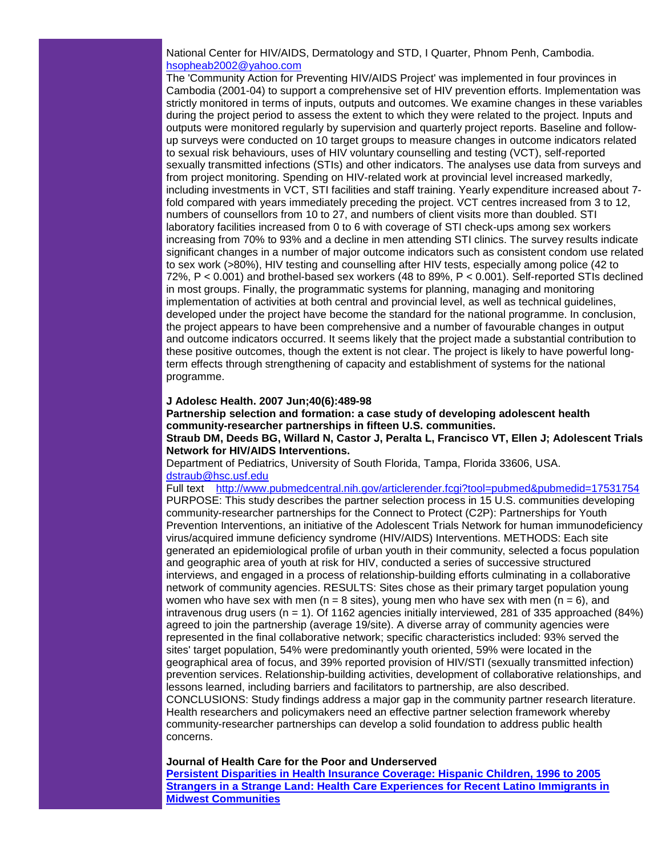National Center for HIV/AIDS, Dermatology and STD, I Quarter, Phnom Penh, Cambodia. [hsopheab2002@yahoo.com](mailto:hsopheab2002@yahoo.com)

The 'Community Action for Preventing HIV/AIDS Project' was implemented in four provinces in Cambodia (2001-04) to support a comprehensive set of HIV prevention efforts. Implementation was strictly monitored in terms of inputs, outputs and outcomes. We examine changes in these variables during the project period to assess the extent to which they were related to the project. Inputs and outputs were monitored regularly by supervision and quarterly project reports. Baseline and followup surveys were conducted on 10 target groups to measure changes in outcome indicators related to sexual risk behaviours, uses of HIV voluntary counselling and testing (VCT), self-reported sexually transmitted infections (STIs) and other indicators. The analyses use data from surveys and from project monitoring. Spending on HIV-related work at provincial level increased markedly, including investments in VCT, STI facilities and staff training. Yearly expenditure increased about 7 fold compared with years immediately preceding the project. VCT centres increased from 3 to 12, numbers of counsellors from 10 to 27, and numbers of client visits more than doubled. STI laboratory facilities increased from 0 to 6 with coverage of STI check-ups among sex workers increasing from 70% to 93% and a decline in men attending STI clinics. The survey results indicate significant changes in a number of major outcome indicators such as consistent condom use related to sex work (>80%), HIV testing and counselling after HIV tests, especially among police (42 to 72%, P < 0.001) and brothel-based sex workers (48 to 89%, P < 0.001). Self-reported STIs declined in most groups. Finally, the programmatic systems for planning, managing and monitoring implementation of activities at both central and provincial level, as well as technical guidelines, developed under the project have become the standard for the national programme. In conclusion, the project appears to have been comprehensive and a number of favourable changes in output and outcome indicators occurred. It seems likely that the project made a substantial contribution to these positive outcomes, though the extent is not clear. The project is likely to have powerful longterm effects through strengthening of capacity and establishment of systems for the national programme.

#### **J Adolesc Health. 2007 Jun;40(6):489-98**

**Partnership selection and formation: a case study of developing adolescent health community-researcher partnerships in fifteen U.S. communities.**

**Straub DM, Deeds BG, Willard N, Castor J, Peralta L, Francisco VT, Ellen J; Adolescent Trials Network for HIV/AIDS Interventions.**

Department of Pediatrics, University of South Florida, Tampa, Florida 33606, USA. [dstraub@hsc.usf.edu](mailto:dstraub@hsc.usf.edu)

Full text [http://www.pubmedcentral.nih.gov/articlerender.fcgi?tool=pubmed&pubmedid=17531754](http://rs6.net/tn.jsp?e=001RPJ7iI0YTCZqbevyc1L0ZcAK7c_N-vc1DnwKsQFgFuYU28GpFiZN-16JtT07QYeE0Ymb0zLHJohRClh5VestS5lWc63aKeq9d9HjLkdyqOkDf6ZyPFeXeFxxwG-WXOsql9AY5k1BIClF9_BjfjO-tsBztiemT9cMkEICruwPYbng-FuRJyj4D0Kk6GtL7eFI_4S3-s94jWk=) PURPOSE: This study describes the partner selection process in 15 U.S. communities developing community-researcher partnerships for the Connect to Protect (C2P): Partnerships for Youth Prevention Interventions, an initiative of the Adolescent Trials Network for human immunodeficiency virus/acquired immune deficiency syndrome (HIV/AIDS) Interventions. METHODS: Each site generated an epidemiological profile of urban youth in their community, selected a focus population and geographic area of youth at risk for HIV, conducted a series of successive structured interviews, and engaged in a process of relationship-building efforts culminating in a collaborative network of community agencies. RESULTS: Sites chose as their primary target population young women who have sex with men (n = 8 sites), young men who have sex with men (n = 6), and intravenous drug users ( $n = 1$ ). Of 1162 agencies initially interviewed, 281 of 335 approached (84%) agreed to join the partnership (average 19/site). A diverse array of community agencies were represented in the final collaborative network; specific characteristics included: 93% served the sites' target population, 54% were predominantly youth oriented, 59% were located in the geographical area of focus, and 39% reported provision of HIV/STI (sexually transmitted infection) prevention services. Relationship-building activities, development of collaborative relationships, and lessons learned, including barriers and facilitators to partnership, are also described. CONCLUSIONS: Study findings address a major gap in the community partner research literature. Health researchers and policymakers need an effective partner selection framework whereby community-researcher partnerships can develop a solid foundation to address public health concerns.

#### **Journal of Health Care for the Poor and Underserved**

**[Persistent Disparities in Health Insurance Coverage: Hispanic Children, 1996 to 2005](http://rs6.net/tn.jsp?e=001RPJ7iI0YTCZPS3MDBEVZQTr9UYl240gHPirPRLOnw3KbGeikt2KRDxVsdkQ8tIhwkw6_Yjjffh9h9MJM7lf42KvJvWi-K81fqCEqmbXxhaf2dKTMZUoIJnNblOL7pvY3m_dpd9IPf7bUaLcW5rQv7sROpI5i66aq96Bag1ccLSEGQUufXlWvLozjXEFef5oQcaNb5_pAzeB7MA0L3OdnL1eHCm1u3Fb04xXSPFERdgcILIDV_5PySQ==) [Strangers in a Strange Land: Health Care Experiences for Recent Latino Immigrants in](http://rs6.net/tn.jsp?e=001RPJ7iI0YTCYEqqPI1x8o9CI1EDBBYVrJDIXOMiHc3zlk0IEDiaKp5X1AfWPxLuUv67uUj9k2hrugsFaLL_T_D4P2PEPq2AU1WiNvgg9mcX_BvagACxhEkqfk9THeu0VvJB5SBc9oYnuIXJ8JmHpba9YXoI0rJuRBG7DIOkZ30TZCtfrW4VLWX4kyEux3FVE_fP9i56WSFYp3gU2U28-CuvUe2lxvZeTX0-pDWEGHOO-qjQTRYVL_Og==)  [Midwest Communities](http://rs6.net/tn.jsp?e=001RPJ7iI0YTCYEqqPI1x8o9CI1EDBBYVrJDIXOMiHc3zlk0IEDiaKp5X1AfWPxLuUv67uUj9k2hrugsFaLL_T_D4P2PEPq2AU1WiNvgg9mcX_BvagACxhEkqfk9THeu0VvJB5SBc9oYnuIXJ8JmHpba9YXoI0rJuRBG7DIOkZ30TZCtfrW4VLWX4kyEux3FVE_fP9i56WSFYp3gU2U28-CuvUe2lxvZeTX0-pDWEGHOO-qjQTRYVL_Og==)**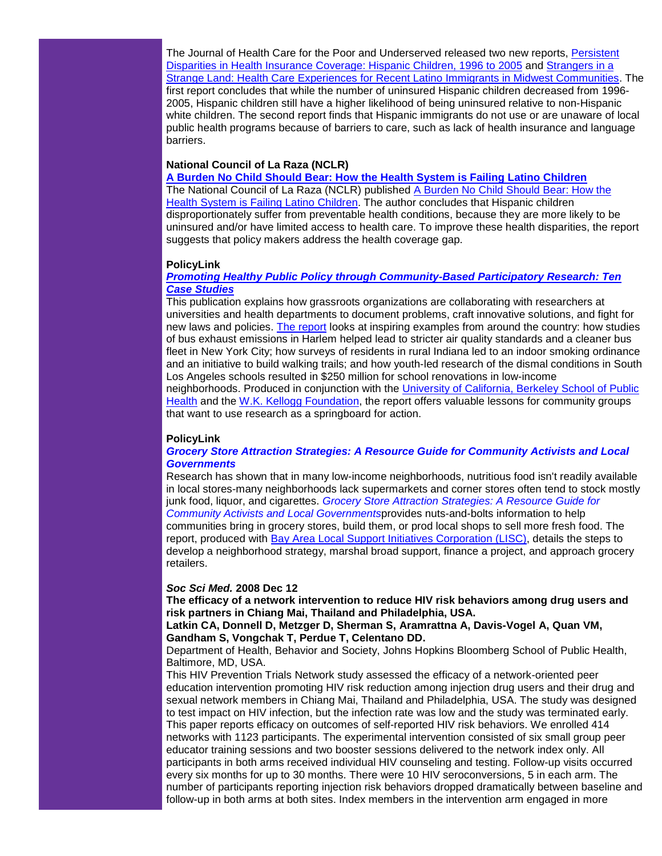The Journal of Health Care for the Poor and Underserved released two new reports, [Persistent](http://rs6.net/tn.jsp?e=001RPJ7iI0YTCZPS3MDBEVZQTr9UYl240gHPirPRLOnw3KbGeikt2KRDxVsdkQ8tIhwkw6_Yjjffh9h9MJM7lf42KvJvWi-K81fqCEqmbXxhaf2dKTMZUoIJnNblOL7pvY3m_dpd9IPf7bUaLcW5rQv7sROpI5i66aq96Bag1ccLSEGQUufXlWvLozjXEFef5oQcaNb5_pAzeB7MA0L3OdnL1eHCm1u3Fb04xXSPFERdgcILIDV_5PySQ==)  Disparities in Health [Insurance Coverage: Hispanic Children, 1996 to 2005](http://rs6.net/tn.jsp?e=001RPJ7iI0YTCZPS3MDBEVZQTr9UYl240gHPirPRLOnw3KbGeikt2KRDxVsdkQ8tIhwkw6_Yjjffh9h9MJM7lf42KvJvWi-K81fqCEqmbXxhaf2dKTMZUoIJnNblOL7pvY3m_dpd9IPf7bUaLcW5rQv7sROpI5i66aq96Bag1ccLSEGQUufXlWvLozjXEFef5oQcaNb5_pAzeB7MA0L3OdnL1eHCm1u3Fb04xXSPFERdgcILIDV_5PySQ==) and [Strangers in a](http://rs6.net/tn.jsp?e=001RPJ7iI0YTCYEqqPI1x8o9CI1EDBBYVrJDIXOMiHc3zlk0IEDiaKp5X1AfWPxLuUv67uUj9k2hrugsFaLL_T_D4P2PEPq2AU1WiNvgg9mcX_BvagACxhEkqfk9THeu0VvJB5SBc9oYnuIXJ8JmHpba9YXoI0rJuRBG7DIOkZ30TZCtfrW4VLWX4kyEux3FVE_fP9i56WSFYp3gU2U28-CuvUe2lxvZeTX0-pDWEGHOO-qjQTRYVL_Og==)  [Strange Land: Health Care Experiences for Recent Latino Immigrants in Midwest Communities.](http://rs6.net/tn.jsp?e=001RPJ7iI0YTCYEqqPI1x8o9CI1EDBBYVrJDIXOMiHc3zlk0IEDiaKp5X1AfWPxLuUv67uUj9k2hrugsFaLL_T_D4P2PEPq2AU1WiNvgg9mcX_BvagACxhEkqfk9THeu0VvJB5SBc9oYnuIXJ8JmHpba9YXoI0rJuRBG7DIOkZ30TZCtfrW4VLWX4kyEux3FVE_fP9i56WSFYp3gU2U28-CuvUe2lxvZeTX0-pDWEGHOO-qjQTRYVL_Og==) The first report concludes that while the number of uninsured Hispanic children decreased from 1996- 2005, Hispanic children still have a higher likelihood of being uninsured relative to non-Hispanic white children. The second report finds that Hispanic immigrants do not use or are unaware of local public health programs because of barriers to care, such as lack of health insurance and language barriers.

#### **National Council of La Raza (NCLR)**

**[A Burden No Child Should Bear: How the Health System is Failing Latino Children](http://rs6.net/tn.jsp?e=001RPJ7iI0YTCa9elCdtN88GPPRBb6y6iGZu39Vx_gh2yBvqfO3Hqoo3BJCCXh-e66LXdkP_KKiDJ9LH7_hyjZaynjDjgGr_Pic9AXMF72mHUoRTZLefCvcF38edOG7AfSZ8gIHw3GHdq-eJyBPB4wk1Q==)** The National Council of La Raza (NCLR) published A Burden No Child Should Bear: How the [Health System is Failing Latino Children.](http://rs6.net/tn.jsp?e=001RPJ7iI0YTCa9elCdtN88GPPRBb6y6iGZu39Vx_gh2yBvqfO3Hqoo3BJCCXh-e66LXdkP_KKiDJ9LH7_hyjZaynjDjgGr_Pic9AXMF72mHUoRTZLefCvcF38edOG7AfSZ8gIHw3GHdq-eJyBPB4wk1Q==) The author concludes that Hispanic children disproportionately suffer from preventable health conditions, because they are more likely to be uninsured and/or have limited access to health care. To improve these health disparities, the report suggests that policy makers address the health coverage gap.

#### **PolicyLink**

#### *[Promoting Healthy Public Policy through Community-Based Participatory Research: Ten](http://rs6.net/tn.jsp?e=001RPJ7iI0YTCb7YZqWTWVSVEjEjMvqOIBJiWA0nxk8lE4SqYjASjfqUQOp9p_6GpWSE4ZbISGcdP0f5MSWWAZg-Le_2ukc_GcjgM7keNDH2zYIm9iaJLluj8UEhwHKN9sbZYAHv2hIRMviT1DZjuFf7zePg1wC6fCb8Jy_eb_jLHRjwnBYnN_9Ae4N0eSDkGlJyL_dA9Xree6H9kru6jWE2w==)  [Case Studies](http://rs6.net/tn.jsp?e=001RPJ7iI0YTCb7YZqWTWVSVEjEjMvqOIBJiWA0nxk8lE4SqYjASjfqUQOp9p_6GpWSE4ZbISGcdP0f5MSWWAZg-Le_2ukc_GcjgM7keNDH2zYIm9iaJLluj8UEhwHKN9sbZYAHv2hIRMviT1DZjuFf7zePg1wC6fCb8Jy_eb_jLHRjwnBYnN_9Ae4N0eSDkGlJyL_dA9Xree6H9kru6jWE2w==)*

This publication explains how grassroots organizations are collaborating with researchers at universities and health departments to document problems, craft innovative solutions, and fight for new laws and policies. [The report](http://rs6.net/tn.jsp?e=001RPJ7iI0YTCaQHHDA45Fo6y4zy2PIFp-Sft1khUYYEHH1wPQVIvvDliP_YCk0aJF4UA8dKxzFlp3w8bXCiEjpj00E769dX7DH4FFx1cZqGlZg_h7rpOIdY4LpJ51btI-2zBvqYi2ONBFx5r0sCPfFlQ9WbjsE-UPdj9LaBwzj7Mg2HX6Q1VV1hMUAuPVovidhyEGob0i6lp-nMVNMNpLJ2A==) looks at inspiring examples from around the country: how studies of bus exhaust emissions in Harlem helped lead to stricter air quality standards and a cleaner bus fleet in New York City; how surveys of residents in rural Indiana led to an indoor smoking ordinance and an initiative to build walking trails; and how youth-led research of the dismal conditions in South Los Angeles schools resulted in \$250 million for school renovations in low-income neighborhoods. Produced in conjunction with the University of California, Berkeley School of Public [Health](http://rs6.net/tn.jsp?e=001RPJ7iI0YTCYpn5knG0EkeQhElu5yKj2WpLl1c0c4hXUrsDrKodka1bbbCNcUtSdYvBuAH2HyxvpzrlYG2XDO5ApbA9EaKT3i2mks5NtMDbGoOLqvShKhlQDtRNtVB3CRE8jzrVwj4vAQHvkiEEYUp9Q-JFmMORrNrQ_qHl6_Si0tJD7gyLbVYTiZhChyUtHRuF26Pot2lRlAqt9twH0-rg==) and the [W.K. Kellogg Foundation,](http://rs6.net/tn.jsp?e=001RPJ7iI0YTCawkp_ubxo5ghQ0jbAL5c7uXSJF--08MXdIF4ddXFabSTFPftkzilo8ANVgExHE5Z5pDPZ-9Cho_3FIzfrDv3TAm_ZZn4mxxLGeJgQ5VX8hbCGCkOuCTGrDVj7eh1UF44qZtTE3afg02aHfI_CNNssn_OdzHxKNDuAoIk2iSEcwAdrywstL1Zk-tOMJX1qDk_-9RjFNiP0wmQ==) the report offers valuable lessons for community groups that want to use research as a springboard for action.

#### **PolicyLink**

#### *[Grocery Store Attraction Strategies: A Resource Guide for Community Activists and Local](http://rs6.net/tn.jsp?e=001RPJ7iI0YTCbmHpa7YmfRsZ1PXl6wkUqpc5PleP-pl8Kk2KbwEgZhYyKoTX0Vhk3t0sRGF5W5N3v4BE-vEnZQg0pVLVs79Ki5RF5fOfUIRZlr-8649b8ZdcQkY6-rdPotEFmfZ2tBo2Gh9pxFnchcT_rSLs1ss3jF9Xs0XgT0EHNScshOLv1DyGBvZ6xoChRRGWKQ3S8H3Ry96lr1sCCU_Q==)  [Governments](http://rs6.net/tn.jsp?e=001RPJ7iI0YTCbmHpa7YmfRsZ1PXl6wkUqpc5PleP-pl8Kk2KbwEgZhYyKoTX0Vhk3t0sRGF5W5N3v4BE-vEnZQg0pVLVs79Ki5RF5fOfUIRZlr-8649b8ZdcQkY6-rdPotEFmfZ2tBo2Gh9pxFnchcT_rSLs1ss3jF9Xs0XgT0EHNScshOLv1DyGBvZ6xoChRRGWKQ3S8H3Ry96lr1sCCU_Q==)*

Research has shown that in many low-income neighborhoods, nutritious food isn't readily available in local stores-many neighborhoods lack supermarkets and corner stores often tend to stock mostly junk food, liquor, and cigarettes. *[Grocery Store Attraction Strategies: A Resource Guide for](http://rs6.net/tn.jsp?e=001RPJ7iI0YTCbmHpa7YmfRsZ1PXl6wkUqpc5PleP-pl8Kk2KbwEgZhYyKoTX0Vhk3t0sRGF5W5N3v4BE-vEnZQg0pVLVs79Ki5RF5fOfUIRZlr-8649b8ZdcQkY6-rdPotEFmfZ2tBo2Gh9pxFnchcT_rSLs1ss3jF9Xs0XgT0EHNScshOLv1DyGBvZ6xoChRRGWKQ3S8H3Ry96lr1sCCU_Q==)  [Community Activists and Local Governments](http://rs6.net/tn.jsp?e=001RPJ7iI0YTCbmHpa7YmfRsZ1PXl6wkUqpc5PleP-pl8Kk2KbwEgZhYyKoTX0Vhk3t0sRGF5W5N3v4BE-vEnZQg0pVLVs79Ki5RF5fOfUIRZlr-8649b8ZdcQkY6-rdPotEFmfZ2tBo2Gh9pxFnchcT_rSLs1ss3jF9Xs0XgT0EHNScshOLv1DyGBvZ6xoChRRGWKQ3S8H3Ry96lr1sCCU_Q==)*provides nuts-and-bolts information to help communities bring in grocery stores, build them, or prod local shops to sell more fresh food. The report, produced with [Bay Area Local Support Initiatives Corporation \(LISC\),](http://rs6.net/tn.jsp?e=001RPJ7iI0YTCaigt95Jm8T2eXxpLn0WV4IV3wYkVQLdBka8f2lU97yIh4cPawWerDaleGoxW7yOJjaYcF56L-ukIEXGOBOjTJLIK5XyxL8RYbTwnwd6zzfLHp2rYCC4qrFE5h1x6-tG1RRHqqBednUMTEpCzyiULMXF0k7nSf3hv1ssDuZugkJBbyDCESPQLpU6BK3WlVNjj3RNfZiz-MHSQ==) details the steps to develop a neighborhood strategy, marshal broad support, finance a project, and approach grocery retailers.

#### *Soc Sci Med.* **2008 Dec 12**

**The efficacy of a network intervention to reduce HIV risk behaviors among drug users and risk partners in Chiang Mai, Thailand and Philadelphia, USA.**

#### **Latkin CA, Donnell D, Metzger D, Sherman S, Aramrattna A, Davis-Vogel A, Quan VM, Gandham S, Vongchak T, Perdue T, Celentano DD.**

Department of Health, Behavior and Society, Johns Hopkins Bloomberg School of Public Health, Baltimore, MD, USA.

This HIV Prevention Trials Network study assessed the efficacy of a network-oriented peer education intervention promoting HIV risk reduction among injection drug users and their drug and sexual network members in Chiang Mai, Thailand and Philadelphia, USA. The study was designed to test impact on HIV infection, but the infection rate was low and the study was terminated early. This paper reports efficacy on outcomes of self-reported HIV risk behaviors. We enrolled 414 networks with 1123 participants. The experimental intervention consisted of six small group peer educator training sessions and two booster sessions delivered to the network index only. All participants in both arms received individual HIV counseling and testing. Follow-up visits occurred every six months for up to 30 months. There were 10 HIV seroconversions, 5 in each arm. The number of participants reporting injection risk behaviors dropped dramatically between baseline and follow-up in both arms at both sites. Index members in the intervention arm engaged in more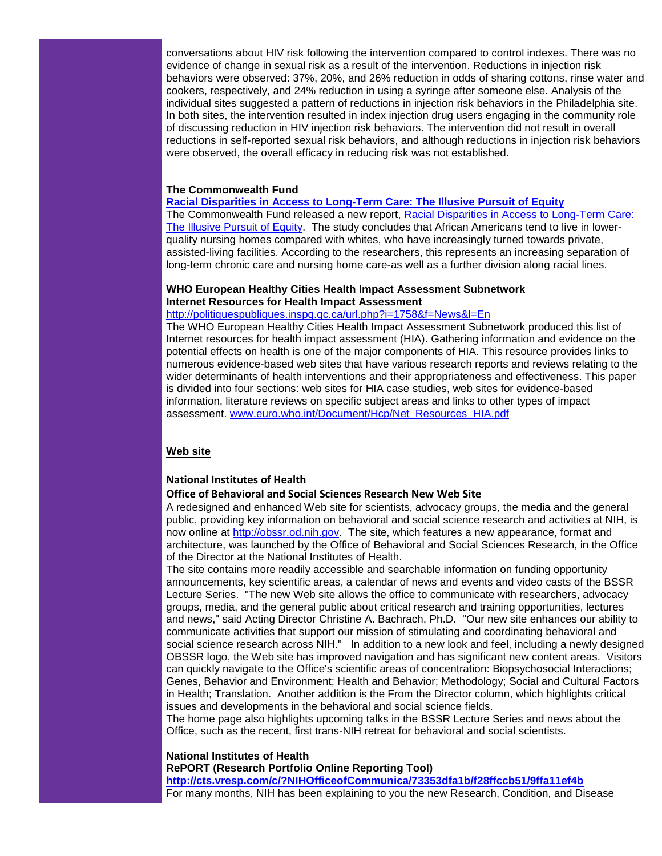conversations about HIV risk following the intervention compared to control indexes. There was no evidence of change in sexual risk as a result of the intervention. Reductions in injection risk behaviors were observed: 37%, 20%, and 26% reduction in odds of sharing cottons, rinse water and cookers, respectively, and 24% reduction in using a syringe after someone else. Analysis of the individual sites suggested a pattern of reductions in injection risk behaviors in the Philadelphia site. In both sites, the intervention resulted in index injection drug users engaging in the community role of discussing reduction in HIV injection risk behaviors. The intervention did not result in overall reductions in self-reported sexual risk behaviors, and although reductions in injection risk behaviors were observed, the overall efficacy in reducing risk was not established.

#### **The Commonwealth Fund**

#### **[Racial Disparities in Access to Long-Term Care: The Illusive Pursuit of Equity](http://rs6.net/tn.jsp?e=001RPJ7iI0YTCY405brC745uDin1MxrUxW6WyuPma_3AfEZj79jJGBC45AGMqhDu1lwxk3mzzofd3ptbXQXOqBmpFOmKkAQIKo8hxhaaexcMy71qOZO6_p9YYVu3S1qmfm0kVQUhuBqpB-o09xVGCZ3-Lx28rgA9SGDMXbf8N46D6_x563m9UNZvujSs1gKoSf5)**

The Commonwealth Fund released a new report, [Racial Disparities in Access to Long-Term Care:](http://rs6.net/tn.jsp?e=001RPJ7iI0YTCY405brC745uDin1MxrUxW6WyuPma_3AfEZj79jJGBC45AGMqhDu1lwxk3mzzofd3ptbXQXOqBmpFOmKkAQIKo8hxhaaexcMy71qOZO6_p9YYVu3S1qmfm0kVQUhuBqpB-o09xVGCZ3-Lx28rgA9SGDMXbf8N46D6_x563m9UNZvujSs1gKoSf5)  [The Illusive Pursuit of Equity.](http://rs6.net/tn.jsp?e=001RPJ7iI0YTCY405brC745uDin1MxrUxW6WyuPma_3AfEZj79jJGBC45AGMqhDu1lwxk3mzzofd3ptbXQXOqBmpFOmKkAQIKo8hxhaaexcMy71qOZO6_p9YYVu3S1qmfm0kVQUhuBqpB-o09xVGCZ3-Lx28rgA9SGDMXbf8N46D6_x563m9UNZvujSs1gKoSf5) The study concludes that African Americans tend to live in lowerquality nursing homes compared with whites, who have increasingly turned towards private, assisted-living facilities. According to the researchers, this represents an increasing separation of long-term chronic care and nursing home care-as well as a further division along racial lines.

# **WHO European Healthy Cities Health Impact Assessment Subnetwork Internet Resources for Health Impact Assessment**

#### [http://politiquespubliques.inspq.qc.ca/url.php?i=1758&f=News&l=En](http://rs6.net/tn.jsp?e=001RPJ7iI0YTCaesDjwuuBl3xvSWozP1W6TbPP_Gb-U-1awBgsTfpPHBCcjakg_uElkvaEETb_eoSgF_5M4rWCaYy86FtJxDLrtmlyt8ewT-FAYG2GvzfU_P9dMMRiFh4Da6V5GFIeT4zbm47WiDMjmPXNibmtbfqvjuQwf9Rxc-YJmg0GHBdXFqw==)

The WHO European Healthy Cities Health Impact Assessment Subnetwork produced this list of Internet resources for health impact assessment (HIA). Gathering information and evidence on the potential effects on health is one of the major components of HIA. This resource provides links to numerous evidence-based web sites that have various research reports and reviews relating to the wider determinants of health interventions and their appropriateness and effectiveness. This paper is divided into four sections: web sites for HIA case studies, web sites for evidence-based information, literature reviews on specific subject areas and links to other types of impact assessment. [www.euro.who.int/Document/Hcp/Net\\_Resources\\_HIA.pdf](http://rs6.net/tn.jsp?e=001RPJ7iI0YTCZG5xoYtb3_vl_cBlS3lumQdvVTbqfW5S14AwQM2dI0XHC68vanptr7I2bdGP-gB72JRFvuNUX3aveAqr1MiwqBlI-MoVzNvEpst9VDmG9D3X5Bjr96ovshNCto8QJHiKdGClk5pWJfOdAnDO4YiTHm)

#### **Web site**

#### **National Institutes of Health**

#### **Office of Behavioral and Social Sciences Research New Web Site**

A redesigned and enhanced Web site for scientists, advocacy groups, the media and the general public, providing key information on behavioral and social science research and activities at NIH, is now online at [http://obssr.od.nih.gov.](http://rs6.net/tn.jsp?e=001RPJ7iI0YTCbrDgWf8f9fJTucXZX7xURSGgeozK9lRyqi_S_Zpk_2hK14ZzBWkScgQnO7glM0Y2kpIA7GWFHgueFbJWmVreNw_LD0ABtvIcY=) The site, which features a new appearance, format and architecture, was launched by the Office of Behavioral and Social Sciences Research, in the Office of the Director at the National Institutes of Health.

The site contains more readily accessible and searchable information on funding opportunity announcements, key scientific areas, a calendar of news and events and video casts of the BSSR Lecture Series. "The new Web site allows the office to communicate with researchers, advocacy groups, media, and the general public about critical research and training opportunities, lectures and news," said Acting Director Christine A. Bachrach, Ph.D. "Our new site enhances our ability to communicate activities that support our mission of stimulating and coordinating behavioral and social science research across NIH." In addition to a new look and feel, including a newly designed OBSSR logo, the Web site has improved navigation and has significant new content areas. Visitors can quickly navigate to the Office's scientific areas of concentration: Biopsychosocial Interactions; Genes, Behavior and Environment; Health and Behavior; Methodology; Social and Cultural Factors in Health; Translation. Another addition is the From the Director column, which highlights critical issues and developments in the behavioral and social science fields.

The home page also highlights upcoming talks in the BSSR Lecture Series and news about the Office, such as the recent, first trans-NIH retreat for behavioral and social scientists.

#### **National Institutes of Health**

**RePORT (Research Portfolio Online Reporting Tool)**

**[http://cts.vresp.com/c/?NIHOfficeofCommunica/73353dfa1b/f28ffccb51/9ffa11ef4b](http://rs6.net/tn.jsp?e=001RPJ7iI0YTCbsHXcslP9MK8KhNmFf36Osweu4Upcc7w8T-nioZ1josXX3LRDWPDpX2PpAZcXDxkIoaZMNkg6pJiQlxEHYO5XhB_jyfCqIiugoGaEtu9BrgSqVfxEZZ-HO6rz23tx6AULVI7dhN9ggk1DdVWeQ-OT0VkI_2A-fwBB1EmMbnVloMQmQgAjCXqGN)**

For many months, NIH has been explaining to you the new Research, Condition, and Disease